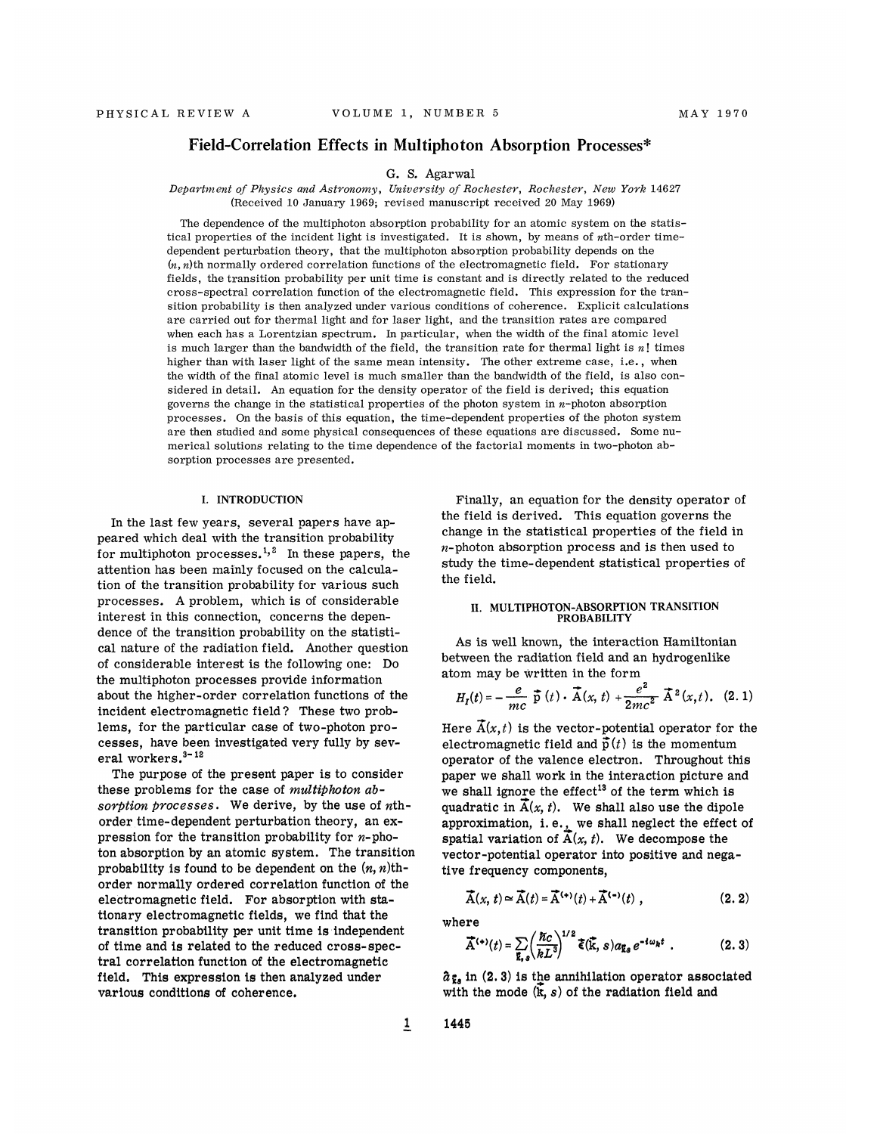# Field-Correlation Effects in Multiphoton Absorption Processes\*

## G. S. Agarwal

Department of Physics and Astronomy, University of Rochester, Rochester, New York 14627 (Received 10 January 1969; revised manuscript received 20 May 1969)

The dependence of the multiphoton absorption probability for an atomic system on the statistical properties of the incident light is investigated. It is shown, by means of nth-order timedependent perturbation theory, that the multiphoton absorption probability depends on the  $(n, n)$ th normally ordered correlation functions of the electromagnetic field. For stationary fields, the transition probability per unit time is constant and is directly related to the reduced cross-spectral correlation function of the electromagnetic field. This expression for the transition probability is then analyzed under various conditions of coherence. Explicit calculations are carried out for thermal light and for laser light, and the transition rates are compared when each has a Lorentzian spectrum. In particular, when the width of the final atomic level is much larger than the bandwidth of the field, the transition rate for thermal light is  $n!$  times higher than with laser light of the same mean intensity. The other extreme case, i.e., when the width of the final atomic level is much smaller than the bandwidth of the field, is also considered in detail. An equation for the density operator of the field is derived; this equation governs the change in the statistical properties of the photon system in  $n$ -photon absorption processes. On the basis of this equation, the time-dependent properties of the photon system are then studied and some physical consequences of these equations are discussed. Some numerical solutions relating to the time dependence of the factorial moments in two-photon absorption processes are presented.

#### I. INTRODUCTION

In the last few years, several papers have appeared which deal with the transition probability for multiphoton processes.<sup>1,2</sup> In these papers, the attention has been mainly focused on the calculation of the transition probability for various such processes. A problem, which is of considerable interest in this connection, concerns the dependence of the transition probability on the statistical nature of the radiation field. Another question of considerable interest is the following one: Do the multiphoton processes provide information about the higher-order correlation functions of the incident electromagnetic field 7 These two problems, for the particular case of two-photon processes, have been investigated very fully by several workers. $3 - 12$ 

The purpose of the present paper is to consider these problems for the case of multiphoton absorption processes. We derive, by the use of  $nth$ order time-dependent perturbation theory, an expression for the transition probability for  $n$ -photon absorption by an atomic system. The transition probability is found to be dependent on the  $(n, n)$ thorder normally ordered correlation function of the electromagnetic field. For absorption with stationary electromagnetic fields, we find that the transition probability per unit time is independent of time and is related to the reduced cross-spectral correlation function of the electromagnetic field. This expression is then analyzed under various conditions of coherence.

Finally, an equation for the density operator of the field is derived. This equation governs the change in the statistical properties of the field in  $n$ -photon absorption process and is then used to study the time-dependent statistical properties of the field.

# H. MULTIPHOTON-ABSORPTION TRANSITION PROBABILITY

As is well known, the interaction Hamiltonian between the radiation field and an hydrogenlike

atom may be written in the form  
\n
$$
H_{I}(t) = -\frac{e}{mc} \vec{p}(t) \cdot \vec{A}(x, t) + \frac{e^{2}}{2mc^{2}} \vec{A}^{2}(x, t). \quad (2.1)
$$

Here  $\overline{A}(x,t)$  is the vector-potential operator for the electromagnetic field and  $\vec{p}(t)$  is the momentum operator of the valence electron. Throughout this paper we shall work in the interaction picture and we shall ignore the effect<sup>13</sup> of the term which is quadratic in  $\overline{A}(x, t)$ . We shall also use the dipole approximation, i.e., we shall neglect the effect of spatial variation of  $\overline{A}(x,\,t).$  We decompose the vector-potential operator into positive and negative frequency components,

$$
\vec{A}(x, t) \simeq \vec{A}(t) = \vec{A}^{(*)}(t) + \vec{A}^{(-)}(t) , \qquad (2.2)
$$

where

$$
\vec{A}^{(*)}(t) = \sum_{\vec{k},s} \left(\frac{\hbar c}{kL^3}\right)^{1/2} \vec{\xi}(\vec{k},s) a_{\vec{k},s} e^{-i\omega_{\vec{k}}t} . \tag{2.3}
$$

 $\hat{a}_{\vec{k}s}$  in (2.3) is the annihilation operator associated with the mode  $(\mathbf{k}, s)$  of the radiation field and

IC '

1445

 $\overline{1}$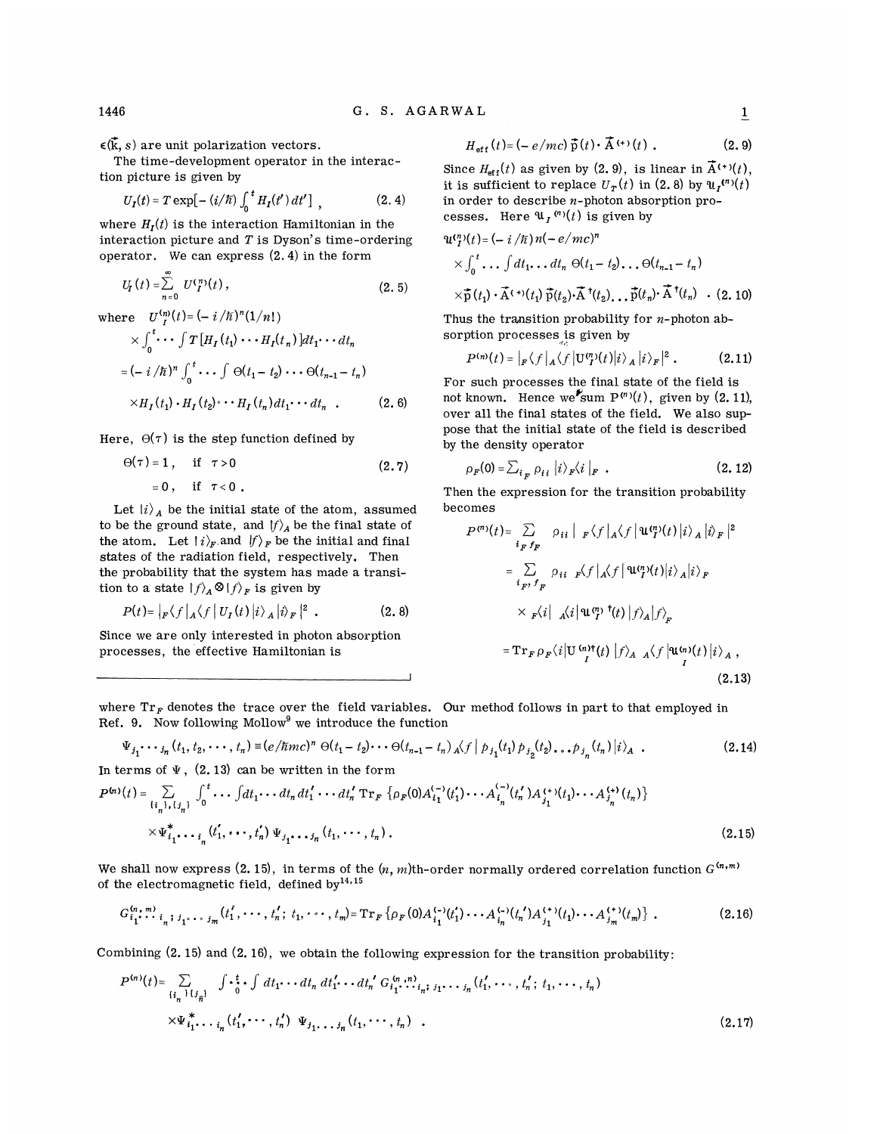$\epsilon(\vec{k}, s)$  are unit polarization vectors.

The time-development operator in the interaction picture is given by

$$
U_I(t) = T \exp[-(i/\hbar) \int_0^t H_I(t') dt'] , \qquad (2.4)
$$

where  $H_I(t)$  is the interaction Hamiltonian in the interaction picture and  $T$  is Dyson's time-ordering operator. We can express (2. 4) in the form

$$
U_f(t) = \sum_{n=0}^{\infty} U_f^{(n)}(t) , \qquad (2.5)
$$

where  $U_{I}^{(n)}(t) = (-i/\hbar)^{n} (1/n!)$ 

$$
\times \int_0^t \cdots \int T\left[H_I(t_1) \cdots H_I(t_n)\right] dt_1 \cdots dt_n
$$
  
=  $(-i/\hbar)^n \int_0^t \cdots \int \Theta(t_1 - t_2) \cdots \Theta(t_{n-1} - t_n)$   

$$
\times H_I(t_1) \cdot H_I(t_2) \cdots H_I(t_n) dt_1 \cdots dt_n .
$$
 (2.6)

Here,  $\Theta(\tau)$  is the step function defined by

$$
\Theta(\tau) = 1, \quad \text{if } \tau > 0 \n= 0, \quad \text{if } \tau < 0.
$$
\n(2.7)

Let 
$$
|i\rangle_A
$$
 be the initial state of the atom, assume to be the ground state, and  $|f\rangle_A$  be the final state of the atom. Let  $|i\rangle_F$  and  $|f\rangle_F$  be the initial and final

states of the radiation field, respectively. Then the probability that the system has made a transition to a state  $|f\rangle_A \otimes |f\rangle_F$  is given by

$$
P(t) = |F f| \sqrt{\frac{1}{2} \sqrt{f} |U_I(t)|} i \rangle_A |i \rangle_F |^2 . \qquad (2.8)
$$

Since we are only interested in photon absorption processes, the effective Hamiltonian is

$$
H_{\text{eff}}(t) = \left(-e/mc\right)\vec{p}(t) \cdot \vec{A}^{(+)}(t) . \qquad (2.9)
$$

Since  $H_{\text{eff}}(t)$  as given by (2.9), is linear in  $\vec{A}^{(+)}(t)$ , it is sufficient to replace  $U_r(t)$  in (2.8) by  $\Psi_r^{(n)}(t)$ in order to describe  $n$ -photon absorption processes. Here  $\mathfrak{u}_t^{(n)}(t)$  is given by

$$
\begin{aligned} \mathbf{u}^{(n)}(t) &= (-i/\hbar) \, n(-e/mc)^n \\ &\times \int_0^t \dots \int dt_1 \dots dt_n \, \Theta(t_1 - t_2) \dots \Theta(t_{n-1} - t_n) \\ &\times \bar{\mathbf{p}}(t_1) \cdot \vec{\mathbf{A}}^{(+)}(t_1) \, \bar{\mathbf{p}}(t_2) \cdot \vec{\mathbf{A}}^{\dagger}(t_2) \dots \bar{\mathbf{p}}(t_n) \cdot \vec{\mathbf{A}}^{\dagger}(t_n) \quad . \end{aligned} \tag{2.10}
$$

Thus the transition probability for  $n$ -photon absorption processes is given by

$$
P^{(n)}(t) = |F \langle f | A \langle f | U^{(n)}(t) | i \rangle_A | i \rangle_F |^2 . \qquad (2.11)
$$

For such processes the final state of the field is not known. Hence we sum  $P^{(n)}(t)$ , given by (2. 11), over all the final states of the field. We also suppose that the initial state of the field is described by the density operator

$$
\rho_F(0) = \sum_{i_F} \rho_{i_i} |i\rangle_F \langle i|_F . \qquad (2.12)
$$

Then the expression for the transition probability becomes

$$
P^{(r)}(t) = \sum_{i_F f_F} \rho_{ii} |_{F} \langle f |_{A} \langle f | \mathbf{u}^{(r)}(t) | i \rangle_{A} | i \rangle_{F} |^{2}
$$
  

$$
= \sum_{i_F, f_F} \rho_{ii} |_{F} \langle f |_{A} \langle f | \mathbf{u}^{(r)}(t) | i \rangle_{A} | i \rangle_{F}
$$
  

$$
\times |_{F} \langle i |_{A} \langle i | \mathbf{u}^{(r)}(t) | f \rangle_{A} | f \rangle_{F}
$$
  

$$
= \mathrm{Tr}_{F} \rho_{F} \langle i | \mathbf{u}^{(r)}(t) | f \rangle_{A} |_{A} \langle f | \mathbf{u}^{(r)}(t) | i \rangle_{A} ,
$$
  
(2.13)

where  $Tr_F$  denotes the trace over the field variables. Our method follows in part to that employed in Ref. 9. Now following Mollow<sup>9</sup> we introduce the function

$$
\Psi_{j_1} \cdots j_n (t_1, t_2, \cdots, t_n) = (e/\hbar m c)^n \Theta(t_1 - t_2) \cdots \Theta(t_{n-1} - t_n) \Lambda(f | p_{j_1}(t_1) p_{j_2}(t_2) \dots p_{j_n}(t_n) | i \rangle_A .
$$
\nIn terms of  $\Psi$ , (2.13) can be written in the form

$$
P^{(n)}(t) = \sum_{\{i_n\}, \{j_n\}} \int_0^t \cdots \int dt_1 \cdots dt_n dt_1' \cdots dt_n' \operatorname{Tr}_F \left\{ \rho_F(0) A_{i_1}^{(-)}(t_1') \cdots A_{i_n}^{(-)}(t_n') A_{j_1}^{(+)}(t_1) \cdots A_{j_n}^{(+)}(t_n) \right\}
$$
  
 
$$
\times \Psi_{i_1}^* \cdots \Psi_{i_n}^*(t_1', \cdots, t_n') \Psi_{j_1} \cdots j_n(t_1, \cdots, t_n).
$$
 (2.15)

We shall now express (2. 15), in terms of the  $(n, m)$ th-order normally ordered correlation function  $G^{(n,m)}$ 

of the electromagnetic field, defined by .',, , G,'":". (t,', , t"'; t".",t")=Tr,ft&, (O)A!-&(t',). A!-'(t"')A'."(t,) . A,.'&(t")) . (2.lfo

Combining  $(2. 15)$  and  $(2. 16)$ , we obtain the following expression for the transition probability:

'"'( )= 5 f <sup>~</sup> .dt"' G,'". <sup>~</sup> ' <sup>~</sup> f dt, <sup>~</sup> <sup>~</sup> dt"dt, .".', ...; (t,', <sup>~</sup> <sup>~</sup> ~, t"'; t"~<sup>~</sup> ~, t") , ,, )t~ ) n n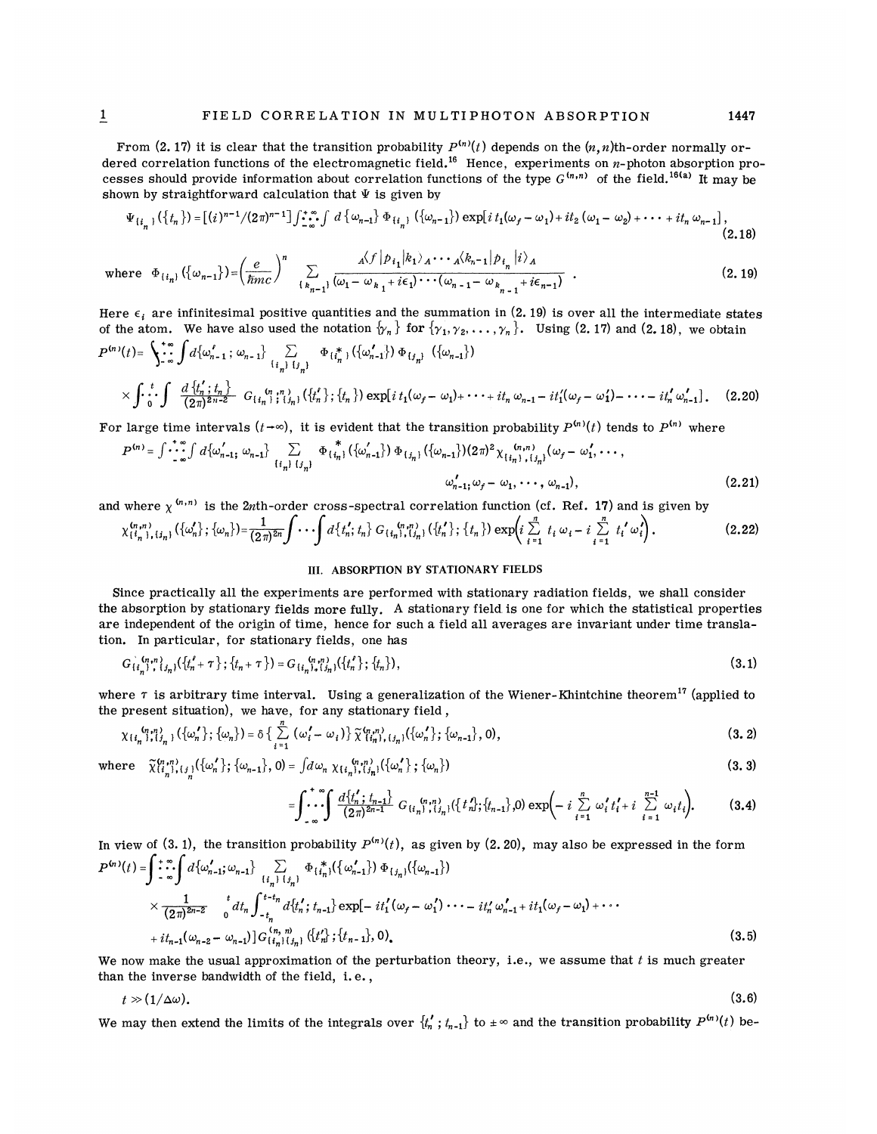From (2.17) it is clear that the transition probability  $P^{(n)}(t)$  depends on the  $(n, n)$ th-order normally ordered correlation functions of the electromagnetic field.<sup>16</sup> Hence, experiments on  $n$ -photon absorption processes should provide information about correlation functions of the type  $G^{(n,n)}$  of the field. <sup>16(a)</sup> It may be shown by straightforward calculation that  $\Psi$  is given by

$$
\Psi_{\{i_{n}\}}(\{\tau_{n}\}) = \left[\frac{i}{2}\pi^{n-1}/(2\pi)^{n-1}\right] \int_{-\infty}^{+\infty} f \, d\{\omega_{n-1}\} \, \Phi_{\{i_{n}\}}(\{\omega_{n-1}\}) \exp\left[i\,t_{1}(\omega_{f}-\omega_{1})+it_{2}\,(\omega_{1}-\omega_{2})+\cdots+it_{n}\,\omega_{n-1}\right],\tag{2.18}
$$

$$
\text{where } \Phi_{\{i_n\}}(\{\omega_{n-1}\}) = \left(\frac{e}{\hbar m c}\right)^n \sum_{\{k_{n-1}\}} \frac{\mathbf{A}\langle f | p_{i_1} | k_1 \rangle_{A} \cdots \mathbf{A}\langle k_{n-1} | p_{i_n} | i \rangle_{A}}{\omega_1 - \omega_{k_1} + i\epsilon_1\cdots(\omega_{n-1} - \omega_{k_{n-1}} + i\epsilon_{n-1})} \tag{2.19}
$$

Here  $\epsilon_i$  are infinitesimal positive quantities and the summation in (2.19) is over all the intermediate states of the atom. We have also used the notation  $\{\gamma_n\}$  for  $\{\gamma_1, \gamma_2, \ldots, \gamma_n\}$ . Using (2.17) and (2.18), we obtain  $d\{\omega_{n-1}^{\ell} \, ; \, \omega_{n-1}\}\sum_{\{i_{n}\}, \{j_{n}\}} \Phi_{\{i_{n}^{\ast}\}}(\{\omega_{n-1}^{\prime}\}) \Phi_{\{j_{n}\}} (\{\omega_{n-1}\})$  $\times \int \cdot \int_{0}^{t} \cdot \int \frac{d \{t'_n : t_n\}}{(2\pi)^{2n-2}} G_{\{t'_n\}}(t'_n) ; (\{t'_n\}; \{t_n\}) \exp[i t_1(\omega_f - \omega_1) + \cdots + it_n \omega_{n-1} - it'_1(\omega_f - \omega'_1) - \cdots - it'_n \omega'_{n-1}].$  (2.20)

For large time intervals  $(t-\infty)$ , it is evident that the transition probability  $P^{(n)}(t)$  tends to  $P^{(n)}$  where

$$
P^{(n)} = \int \cdots \int_{\omega}^{\infty} d \{\omega'_{n-1}, \omega_{n-1}\} \sum_{\{i_n\} \{j_n\}} \Phi_{\{i_n\}}^{\ast} (\{\omega'_{n-1}\}) \Phi_{\{j_n\}} (\{\omega_{n-1}\}) (2\pi)^2 \chi_{\{i_n\}, \{j_n\}}^{(n,n)}(\omega_f - \omega'_1, \dots, \omega'_{n-1})
$$
\n
$$
\omega'_{n-1}, \omega_f - \omega_1, \dots, \omega_{n-1}), \tag{2.21}
$$

and where 
$$
\chi^{(n,n)}
$$
 is the 2*n*th-order cross-spectral correlation function (cf. Ref. 17) and is given by\n
$$
\chi^{(n,n)}_{\{i_n\},\{j_n\}}(\{\omega'_n\};\{\omega_n\}) = \frac{1}{(2\pi)^{2n}} \int \cdots \int d\{t'_n;t_n\} G_{\{i_n\},\{j_n\}}(\{t'_n\};\{t_n\}) \exp\left(i\sum_{i=1}^n t_i \omega_i - i\sum_{i=1}^n t'_i \omega'_i\right).
$$
\n(2.22)

#### III. ABSORPTION BY STATIONARY FIELDS

Since practically all the experiments are performed with stationary radiation fields, we shall consider the absorption by stationary fields more fully. A stationary field is one for which the statistical properties are independent of the origin of time, hence for such a field all averages are invariant under time translation. In particular, for stationary fields, one has

$$
G_{\{i_n\}}^{(n,n)}(t_n,\{\{t'_n+\tau\}\};\{t_n+\tau\})=G_{\{i_n\}}^{(n,n)}(t_n,\{\tau'_n\};\{t_n\}),\tag{3.1}
$$

where  $\tau$  is arbitrary time interval. Using a generalization of the Wiener-Khintchine theorem<sup>17</sup> (applied to the present situation), we have, for any stationary field,

$$
\chi_{\{i_n\},\{j_n\}}(\{\omega_n'\};\{\omega_n\}) = \delta\{\sum_{i=1}^n (\omega_i'-\omega_i)\}\widetilde{\chi}_{\{i_n\},\{j_n\}}(\{\omega_n'\};\{\omega_{n-1}\},0),
$$
\n(3.2)

where  $\tilde{\chi}_{\{i_n\},\{j\}}^{(n,n)}(\{\omega_n'\}; {\omega_{n-1}\}, 0) = \int d\omega_n \chi_{\{i_n\},\{j_n\}}(\{\omega_n'\}; {\omega_n\})$ 

$$
\int_{-\infty}^{+\infty} \int \frac{d\{t'_n\,;\,t_{n-1}\}}{(2\pi)^{2n-1}} G_{\{t'_n\},\{t'_n\}}(\{t'_n\},\{t_{n-1}\},0) \exp\Bigl(-i\sum_{i=1}^n \omega'_i t'_i + i\sum_{i=1}^{n-1} \omega_i t_i\Bigr). \hspace{1cm} (3.4)
$$

In view of (3. 1), the transition probability 
$$
P^{(n)}(t)
$$
, as given by (2. 20), may also be expressed in the form  
\n
$$
P^{(n)}(t) = \int \cdots \int_{-\infty}^{+\infty} d\{\omega'_{n-1}; \omega_{n-1}\} \sum_{\{i_n\} \{j_i\}} \Phi_{\{i_n\}}(\{\omega'_{n-1}\}) \Phi_{\{j_n\}}(\{\omega_{n-1}\})
$$
\n
$$
\times \frac{1}{(2\pi)^{2n-2}} \int_{0}^{t} dt_n \int_{-t_n}^{t-t_n} d\{t'_n; t_{n-1}\} \exp[-it'_1(\omega_t - \omega'_1) \cdots -it'_n \omega'_{n-1} + it_1(\omega_t - \omega_1) + \cdots + it_{n-1}(\omega_{n-2} - \omega_{n-1})] G^{(n,m)}_{\{i_n\} \{j_n\}}(\{t'_n\}; \{t_{n-1}\}, 0).
$$
\n(3.5)

We now make the usual approximation of the perturbation theory, i.e., we assume that  $t$  is much greater than the inverse bandwidth of the field, i. e. ,

$$
t \gg (1/\Delta\omega). \tag{3.6}
$$

We may then extend the limits of the integrals over  $\{t'_n; t_{n-1}\}$  to  $\pm \infty$  and the transition probability  $P^{(n)}(t)$  be-

(3. 3)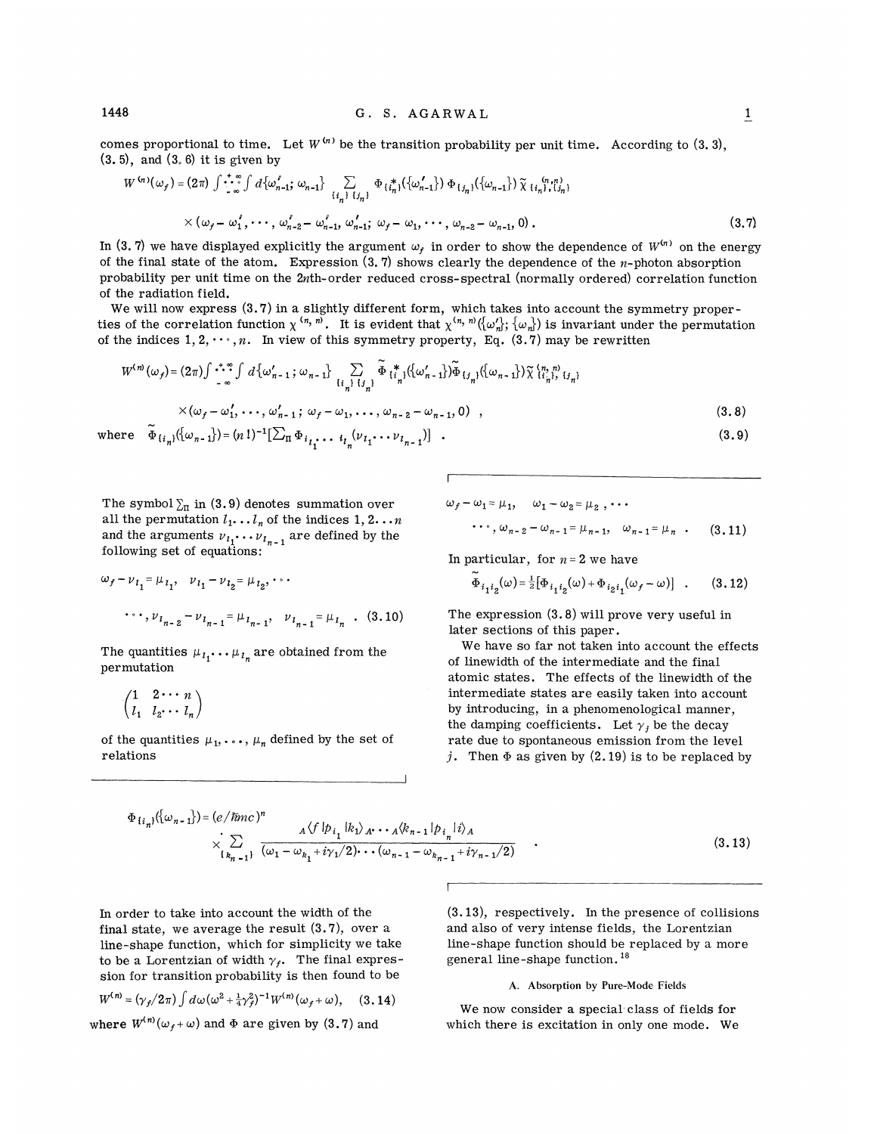comes proportional to time. Let  $W^{(n)}$  be the transition probability per unit time. According to  $(3, 3),$ (3. 5), and (3. 8) it is given by

$$
W^{(n)}(\omega_f) = (2\pi) \int \cdots \int_{\infty}^{\infty} \int d\{\omega'_{n-1}; \omega_{n-1}\} \sum_{\{i_n\} \{j_n\}} \Phi_{\{i_n\}}(\{\omega'_{n-1}\}) \Phi_{\{j_n\}}(\{\omega_{n-1}\}) \tilde{\chi}_{\{i_n\}, \{j_n\}} \omega_{\{i_n\}} \times (\omega_f - \omega'_1, \cdots, \omega'_{n-2} - \omega'_{n-1}, \omega'_{n-1}; \omega_f - \omega_1, \cdots, \omega_{n-2} - \omega_{n-1}, 0) .
$$
\n(3.7)

In (3.7) we have displayed explicitly the argument  $\omega_f$  in order to show the dependence of  $W^{(n)}$  on the energy of the final state of the atom. Expression  $(3, 7)$  shows clearly the dependence of the *n*-photon absorption probability per unit time on the 2nth-order reduced cross-spectral (normally ordered) correlation function of the radiation field.

We will now express  $(3.7)$  in a slightly different form, which takes into account the symmetry proper-We will now express (0.1) in a slightly different form, which takes the account the symmetry proper-<br>ties of the correlation function  $\chi^{(n, n)}$ . It is evident that  $\chi^{(n, n)}(\omega_n^1;\{\omega_n\})$  is invariant under the permutation of the indices  $1, 2, \dots, n$ . In view of this symmetry property, Eq. (3.7) may be rewritten

$$
W^{(n)}(\omega_f) = (2\pi) \int \cdots \int_{-\infty}^{\infty} d\{\omega'_{n-1}\,;\,\omega_{n-1}\} \sum_{\{i_n\} \{j_n\}} \widetilde{\Phi}_{\{i_n\}}^* (\{\omega'_{n-1}\}) \widetilde{\Phi}_{\{j_n\}} (\{\omega_{n-1}\}) \widetilde{\chi}_{\{i_n\}}^{\{n,n\}} (j_n) \times (\omega_f - \omega'_1, \ldots, \omega'_{n-1}\,;\,\omega_f - \omega_1, \ldots, \omega_{n-2} - \omega_{n-1}, 0) ,
$$
\n(3.8)

where 
$$
\tilde{\Phi}_{\{i_n\}}(\{\omega_{n-1}\}) = (n!)^{-1} [\sum_{\Pi} \Phi_{i_{i_1}}, \ldots, \Phi_{i_n}(\nu_{i_1} \cdots \nu_{i_{n-1}})]
$$
 (3.9)

The symbol  $\Sigma_{\pi}$  in (3.9) denotes summation over all the permutation  $l_1 \ldots l_n$  of the indices  $1, 2 \ldots n$ and the arguments  $v_{i_1} \cdots v_{i_{n-1}}$  are defined by the following set of equations:

$$
\omega_f - \nu_{i_1} = \mu_{i_1}, \quad \nu_{i_1} - \nu_{i_2} = \mu_{i_2}, \cdots
$$

$$
\cdots, \nu_{i_{n-2}} - \nu_{i_{n-1}} = \mu_{i_{n-1}}, \quad \nu_{i_{n-1}} = \mu_{i_n} \quad . \quad (3.10)
$$

The quantities  $\mu_{i_1} \dots \mu_{i_n}$  are obtained from the permutation

$$
\begin{pmatrix} 1 & 2 \cdots n \\ l_1 & l_2 \cdots l_n \end{pmatrix}
$$

of the quantities  $\mu_1, \ldots, \mu_n$  defined by the set of relations

$$
\omega_f - \omega_1 = \mu_1, \quad \omega_1 - \omega_2 = \mu_2, \cdots
$$
  
...
$$
\cdots, \omega_{n-2} - \omega_{n-1} = \mu_{n-1}, \quad \omega_{n-1} = \mu_n \quad . \tag{3.11}
$$

In particular, for  $n=2$  we have

$$
\tilde{\Phi}_{i_1 i_2}(\omega) = \frac{1}{2} [\Phi_{i_1 i_2}(\omega) + \Phi_{i_2 i_1}(\omega_f - \omega)] \quad . \tag{3.12}
$$

The expression (S.8) will prove very useful in later sections of this paper.

We have so far not taken into account the effects of linewidth of the intermediate and the final atomic states. The effects of the linewidth of the intermediate states are easily taken into account by introducing, in a phenomenological manner, the damping coefficients. Let  $\gamma_j$  be the decay<br>rate due to spontaneous emission from the level j. Then  $\Phi$  as given by (2.19) is to be replaced by

$$
\Phi_{\{i_n\}}(\{\omega_{n-1}\}) = (e/\hbar m c)^n \times \sum_{\{k_{n-1}\}} \frac{A \langle f | p_{i_1} | k_1 \rangle_{A^*} \cdots A \langle k_{n-1} | p_{i_n} | i \rangle_A}{(\omega_1 - \omega_{k_1} + i\gamma_1/2) \cdots (\omega_{n-1} - \omega_{k_{n-1}} + i\gamma_{n-1}/2)} \tag{3.13}
$$

In order to take into account the width of the final state, we average the result (3.7), over a line-shape function, which for simplicity we take to be a Lorentzian of width  $\gamma_f$ . The final expression for transition probability is then found to be

$$
W^{(n)} = (\gamma_f/2\pi) \int d\omega (\omega^2 + \frac{1}{4}\gamma_f^2)^{-1} W^{(n)}(\omega_f + \omega), \quad (3.14)
$$

where  $W^{(n)}(\omega_f+\omega)$  and  $\Phi$  are given by (3.7) and

(3.13), respectively. In the presence of collisions and also of very intense fields, the Lorentzian line-shape function should be replaced by a more general line-shape function. '

#### A. Absorption by Pure-Mode Fields

We now consider a special class of fields for which there is excitation in only one mode. We

 $\mathbf{1}$ 

1448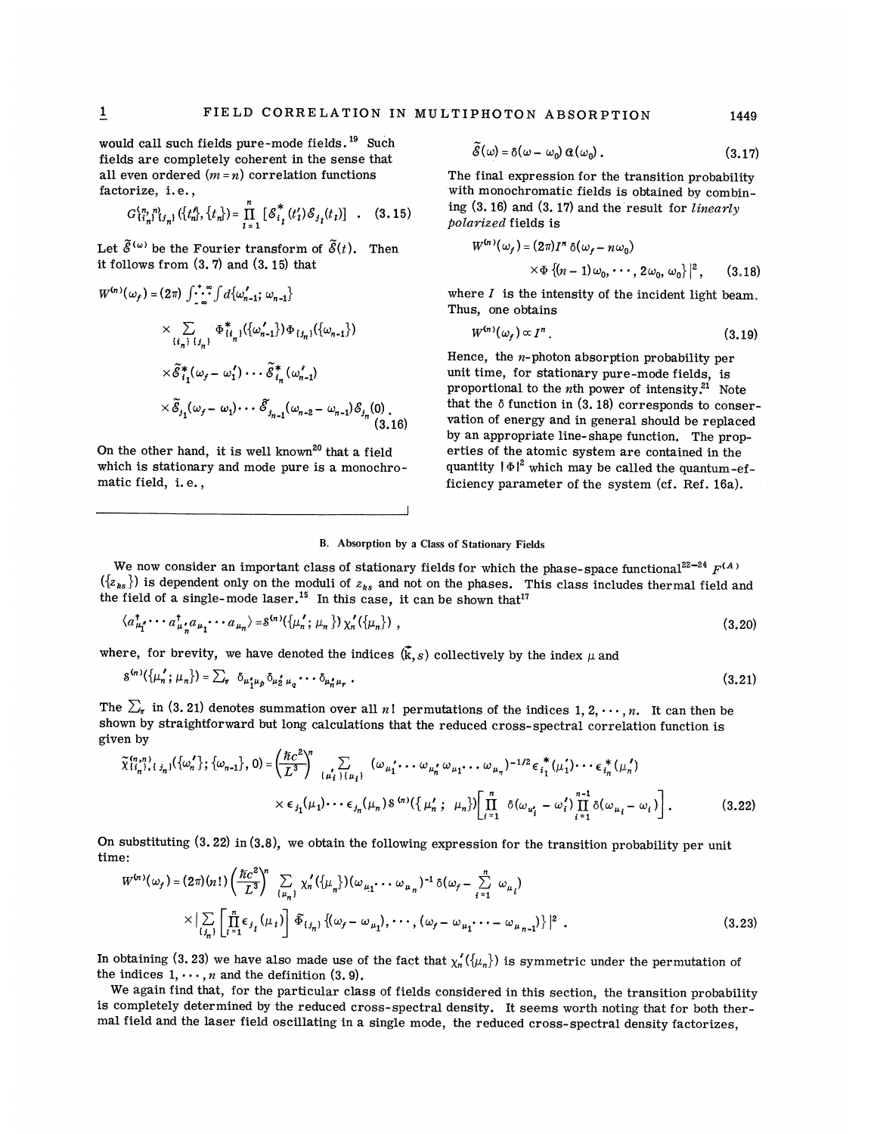would call such fields pure-mode fields.<sup>19</sup> Such fields are completely coherent in the sense that all even ordered  $(m = n)$  correlation functions factorize, i.e.,

$$
G_{\{i_n\}}^{\{n,\,n\}}(t_n,\{\{t_n\},\{t_n\}) = \prod_{i=1}^n \left[ \mathcal{S}_{i_i}^*(t_i') \mathcal{S}_{j_i}(t_i) \right] . \quad (3.15)
$$

Let  $\tilde{\mathscr{E}}^{(\omega)}$  be the Fourier transform of  $\tilde{\mathscr{E}}(t)$ . Then it follows from (3.7) and (3. 15) that

$$
W^{(n)}(\omega_f) = (2\pi) \int_{-\infty}^{+\infty} \int d\{\omega'_{n-1}; \omega_{n-1}\}\n\times \sum_{\{i_n\}} \Phi^*_{\{i_n\}}(\{\omega'_{n-1}\}) \Phi_{\{i_n\}}(\{\omega_{n-1}\})\n\times \tilde{\mathcal{E}}^*_{i_1}(\omega_f - \omega'_1) \cdots \tilde{\mathcal{E}}^*_{i_n}(\omega'_{n-1})\n\times \tilde{\mathcal{E}}^*_{i_1}(\omega_f - \omega_1) \cdots \tilde{\mathcal{E}}^*_{i_n-1}(\omega_{n-2} - \omega_{n-1}) \mathcal{E}_{i_n}(0)\n\times \tilde{\mathcal{E}}_{i_1}(\omega_f - \omega_1) \cdots \tilde{\mathcal{E}}_{i_{n-1}}(\omega_{n-2} - \omega_{n-1}) \mathcal{E}_{i_n}(0)\n\times (3.16)
$$

On the other hand, it is well known<sup>20</sup> that a field which is stationary and mode pure is a monochromatic field, i. e. ,

$$
\widetilde{\mathcal{E}}(\omega) = \delta(\omega - \omega_0) \, \alpha(\omega_0) \,. \tag{3.17}
$$

The final expression for the transition probability with monochromatic fields is obtained by combining  $(3. 16)$  and  $(3. 17)$  and the result for *linearly* polarized fields is

$$
W^{(n)}(\omega_f) = (2\pi)I^n \delta(\omega_f - n\omega_0)
$$
  
 
$$
\times \Phi \{ (n-1)\omega_0, \cdots, 2\omega_0, \omega_0 \} |^2, \qquad (3.18)
$$

 $\{\cdot \cdot \cdot \| d_{\{\omega_{n-1}'; \omega_{n-1}\}}\}$  where *I* is the intensity of the incident light beam. Thus, one obtains

$$
W^{(n)}(\omega_f) \propto I^n \,. \tag{3.19}
$$

Hence, the  $n$ -photon absorption probability per unit time, for stationary pure-mode fields, is proportional to the *n*th power of intensity.<sup>21</sup> Note that the  $\delta$  function in  $(3.18)$  corresponds to conservation of energy and in general should be replaced by an appropriate line-shape function. The properties of the atomic system are contained in the quantity  $|\Phi|^2$  which may be called the quantum-efficiency parameter of the system (cf. Ref. 16a).

## B. Absorption by a Class of Stationary Fields

We now consider an important class of stationary fields for which the phase-space functional<sup>22-24</sup>  $F^{(A)}$  $({z_{ks}})$  is dependent only on the moduli of  $z_{ks}$  and not on the phases. This class includes thermal field and the field of a single-mode laser.<sup>15</sup> In this case, it can be shown that<sup>"</sup><br>  $\langle a_{\mu_1^*}^{\dagger} \cdots a_{\mu_n^*}^{\dagger} a_{\mu_1} \cdots a_{\mu_n} \rangle = \delta^{(n)}(\{\mu_n^{'}; \mu_n\}) \chi_n'(\{\mu_n\})$ ,

$$
\langle a_{\mu_1}^{\dagger} \cdots a_{\mu_n}^{\dagger} a_{\mu_1} \cdots a_{\mu_n} \rangle = \delta^{(n)}(\{\mu_n^{\dagger}; \mu_n\}) \chi_n'(\{\mu_n\}) \tag{3.20}
$$

where, for brevity, we have denoted the indices 
$$
(\vec{k}, s)
$$
 collectively by the index  $\mu$  and  
\n
$$
s^{(n)}(\{\mu'_n; \mu_n\}) = \sum_{\tau} \delta_{\mu'_1 \mu_p} \delta_{\mu'_2 \mu_q} \cdots \delta_{\mu'_n \mu_r}.
$$
\n(3.21)

The  $\Sigma_{\pi}$  in (3. 21) denotes summation over all n! permutations of the indices 1, 2,  $\cdots$ , n. It can then be given by

shown by straightforward but long calculations that the reduced cross-spectral correlation function is given by\n
$$
\tilde{\chi}_{\{i_n\},\{j_n\}}^{(n,n)}(\{\omega'_n\};\{\omega_{n-1}\},0) = \left(\frac{\hbar c^2}{L^3}\right)^n \sum_{\{\mu'_i\}\,\{\mu_i\}} (\omega_{\mu'_1} \cdots \omega_{\mu'_n} \omega_{\mu_1} \cdots \omega_{\mu_n})^{-1/2} \epsilon_{i_1}^*(\mu'_1) \cdots \epsilon_{i_n}^*(\mu'_n)
$$
\n
$$
\times \epsilon_{j_1}(\mu_1) \cdots \epsilon_{j_n}(\mu_n) \delta^{(n)}(\{\mu'_n\};\ \mu_n)\left[\prod_{i=1}^n \delta(\omega_{\mu'_i} - \omega'_i)\prod_{i=1}^{n-1} \delta(\omega_{\mu_i} - \omega_i)\right].
$$
\n(3.22)

On substituting (3.22) in (3.8), we obtain the following expression for the transition probability per unit time:

$$
W^{(n)}(\omega_f) = (2\pi)(n!) \left(\frac{\hbar c^2}{L^3}\right)^n \sum_{\{\mu_n\}} \chi_n'(\{\mu_n\}) (\omega_{\mu_1} \cdots \omega_{\mu_n})^{-1} \delta(\omega_f - \sum_{i=1}^n \omega_{\mu_i})
$$
  
 
$$
\times |\sum_{\{j_n\}} \left[ \prod_{i=1}^n \epsilon_{j_i} (\mu_i) \right] \tilde{\Phi}_{\{j_n\}} \{ (\omega_f - \omega_{\mu_1}), \cdots, (\omega_f - \omega_{\mu_1} \cdots - \omega_{\mu_{n-1}}) \} |^2.
$$
 (3.23)

In obtaining (3.23) we have also made use of the fact that  $\chi'_n({\mu_n})$  is symmetric under the permutation of the indices  $1, \dots, n$  and the definition  $(3.9)$ .

We again find that, for the particular class of fields considered in this section, the transition probability is completely determined by the reduced cross-spectral density. It seems worth noting that for both thermal field and the laser field oscillating in a single mode, the reduced cross-spectral density factorizes,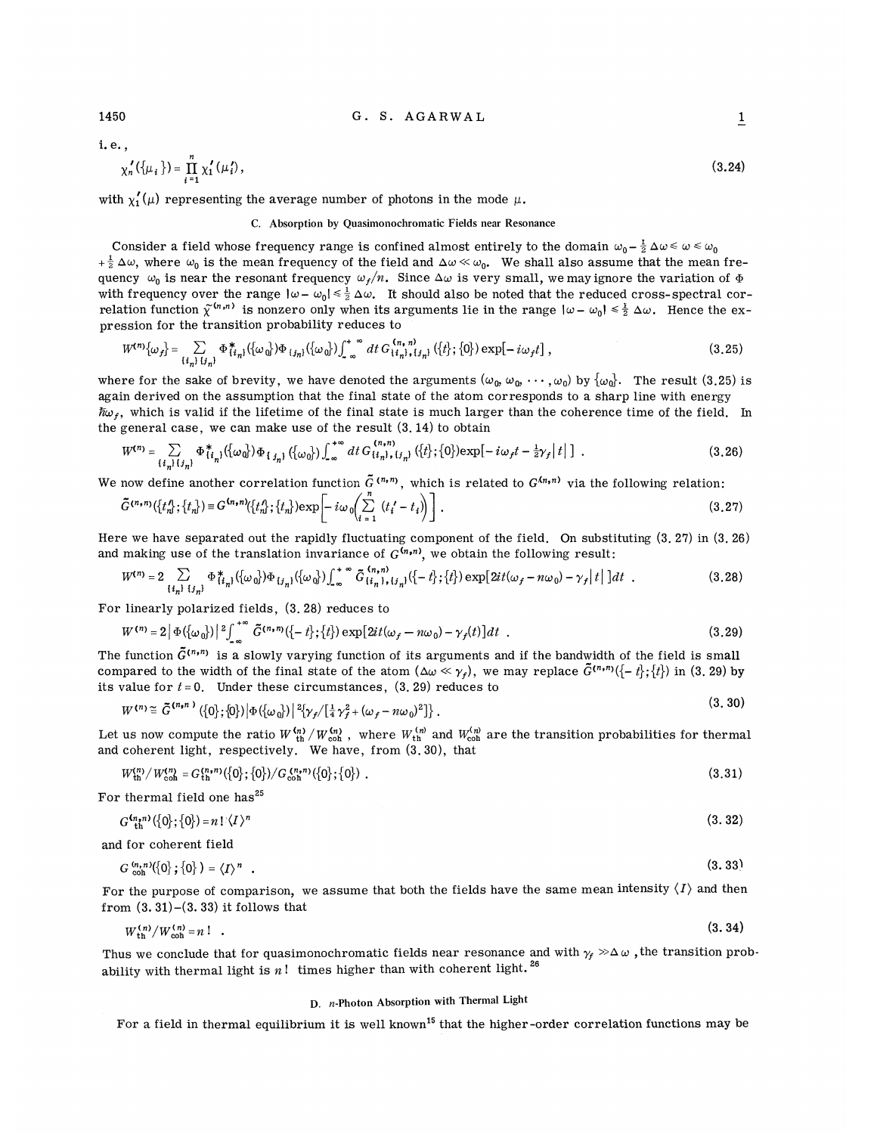1450 G. S. AGARWAL

i. e. ,

$$
\chi_n'(\{\mu_i\}) = \prod_{i=1}^n \chi_i'(\mu_i'),\tag{3.24}
$$

with  $\chi'_1(\mu)$  representing the average number of photons in the mode  $\mu$ .

## C. Absorption by Quasimonochromatic Fields near Resonance

Consider a field whose frequency range is confined almost entirely to the domain  $\omega_0 - \frac{1}{2} \Delta \omega \leq \omega \leq \omega_0$  $+\frac{1}{2}\Delta\omega$ , where  $\omega_0$  is the mean frequency of the field and  $\Delta\omega \ll \omega_0$ . We shall also assume that the mean frequency  $\omega_0$  is near the resonant frequency  $\omega_f/n$ . Since  $\Delta\omega$  is very small, we may ignore the variation of  $\Phi$ with frequency over the range  $|\omega - \omega_0| \leq \frac{1}{2} \Delta \omega$ . It should also be noted that the reduced cross-spectral corwhen if equency over the range  $\omega = \omega_0 \cdot \frac{1}{2} \Delta \omega$ . It should also be noted that the reduced cross-spectral correlation function  $\tilde{\chi}^{(n,n)}$  is nonzero only when its arguments lie in the range  $|\omega - \omega_0| \le \frac{1}{2} \Delta \omega$ pression for the transition probability reduces to

$$
W^{(n)}\{\omega_f\} = \sum_{\{i_n\}_{i} \{j_n\}} \Phi_{\{i_n\}}^* \left( \{\omega_0\} \right) \Phi_{\{j_n\}} \left( \{\omega_0\} \right) \int_{-\infty}^{\infty} dt \, G_{\{i_n\},i_{j_n\}}^{\,(n,\,n)} \left( \{t\};\{0\} \right) \exp[-i\omega_f t] \,, \tag{3.25}
$$

where for the sake of brevity, we have denoted the arguments  $(\omega_0, \omega_0, \cdots, \omega_0)$  by  $\{\omega_0\}$ . The result (3.25) is again derived on the assumption that the final state of the atom corresponds to a sharp line with energy  $\hbar\omega_{\epsilon}$ , which is valid if the lifetime of the final state is much larger than the coherence time of the field. In the general case, we can make use of the result (3. 14) to obtain

$$
W^{(n)} = \sum_{\{i_n\} \{j_n\}} \Phi^*_{\{i_n\}}(\{\omega_0\}) \Phi_{\{j_n\}}(\{\omega_0\}) \int_{-\infty}^{+\infty} dt \, G^{(n,n)}_{\{i_n\},\{j_n\}}(\{t\};\{0\}) \exp[-i\omega_f t - \frac{1}{2}\gamma_f |t|] \tag{3.26}
$$

We now define another correlation function 
$$
\tilde{G}^{(n,n)}
$$
, which is related to  $G^{(n,n)}$  via the following relation:  
\n
$$
\tilde{G}^{(n,n)}(\lbrace t_n^A; \lbrace t_n \rbrace) \equiv G^{(n,n)}(\lbrace t_n^A; \lbrace t_n \rbrace) \exp\left[-i\omega_0 \left(\sum_{i=1}^n (t_i^{\prime} - t_i)\right)\right].
$$
\n(3.27)

Here we have separated out the rapidly fluctuating component of the field. On substituting  $(3, 27)$  in  $(3, 26)$ and making use of the translation invariance of  $G^{(n,n)}$ , we obtain the following result:

$$
W^{(n)} = 2 \sum_{\{i_n\}} \sum_{\{j_n\}} \Phi^*_{\{i_n\}}(\{\omega_0\}) \Phi_{\{j_n\}}(\{\omega_0\}) \int_{-\infty}^{+\infty} \tilde{G}^{(n,n)}_{\{i_n\},\{j_n\}}(\{-t\};\{t\}) \exp[2it(\omega_f - n\omega_0) - \gamma_f |t|] dt . \tag{3.28}
$$

For linearly polarized fields, (3. 28) reduces to

$$
W^{(n)} = 2 |\Phi(\{\omega_0\})|^2 \int_{-\infty}^{+\infty} \tilde{G}^{(n,n)}(\{-t\};\{t\}) \exp[2it(\omega_f - n\omega_0) - \gamma_f(t)] dt
$$
 (3.29)

The function  $\tilde{G}^{(n,n)}$  is a slowly varying function of its arguments and if the bandwidth of the field is small compared to the width of the final state of the atom  $(\Delta \omega \ll \gamma_f)$ , we may replace  $\tilde{G}^{(n,n)}(\{-t\};\{t\})$  in (3. 29) by its value for  $t = 0$ . Under these circumstances,  $(3, 29)$  reduces to  $(0, 0)$ 

$$
W^{(n)} \cong \tilde{G}^{(n,n)}\left(\{0\};\{0\}\right) \left|\Phi\left(\{\omega_0\}\right)\right| \, \, \left|\{ \gamma_f/[\frac{1}{4} \gamma_f^2 + (\omega_f - n\omega_0)^2] \right\} \,. \tag{3.30}
$$

Let us now compute the ratio  $W_{\text{th}}^{(n)}/W_{\text{coh}}^{(n)}$ , where  $W_{\text{th}}^{(n)}$  and  $W_{\text{coh}}^{(n)}$  are the transition probabilities for thermal and coherent light, respectively. We have, from (3. 30), that

$$
W_{\rm th}^{(n)}/W_{\rm coh}^{(n)} = G_{\rm th}^{(n,n)}(\{0\};\{0\})/G_{\rm coh}^{(n,n)}(\{0\};\{0\})\ .
$$

For thermal field one has<sup>25</sup>

$$
G^{\binom{n}{n}}\left(\left\{0\right\};\left\{0\right\}\right) = n! \left(\left\langle I\right\rangle^n\right) \tag{3.32}
$$

and for coherent field

$$
G_{\text{coh}}^{(n,n)}(\{0\};\{0\}) = \langle I \rangle^n \quad . \tag{3.33}
$$

For the purpose of comparison, we assume that both the fields have the same mean intensity  $\langle I \rangle$  and then from  $(3.31)$ - $(3.33)$  it follows that

$$
W_{\rm th}^{(n)}/W_{\rm coh}^{(n)} = n! \quad . \tag{3.34}
$$

Thus we conclude that for quasimonochromatic fields near resonance and with  $\gamma_f \gg \Delta \omega$ , the transition probability with thermal light is  $n!$  times higher than with coherent light.<sup>26</sup>

# D. n-Photon Absorption with Thermal Light

For a field in thermal equilibrium it is well known<sup>15</sup> that the higher-order correlation functions may be

 $\overline{1}$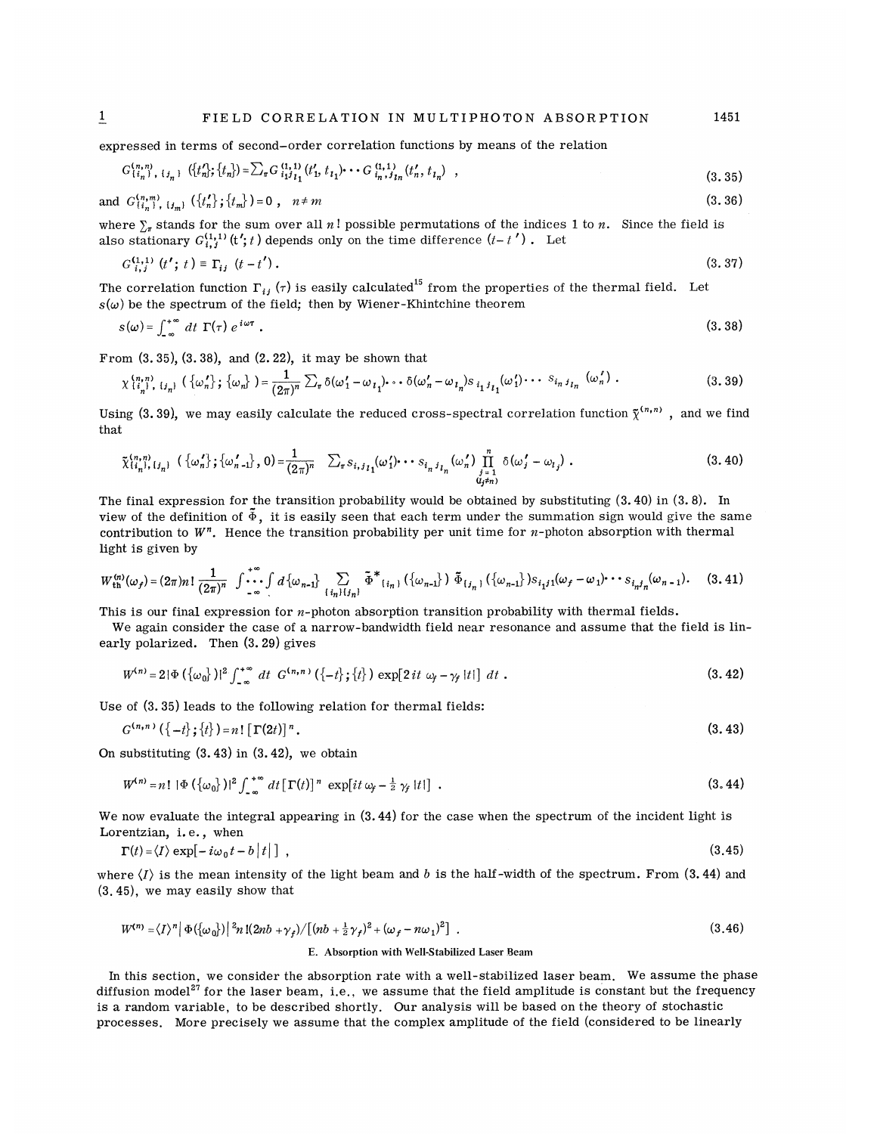expressed in terms of second-order correlation functions by means of the relation

$$
G_{\{i_n\}}^{(n,n)}, \{j_n\} \ \left(\{t_n'\}; \{t_n\}\right) = \sum_{\pi} G_{i_1 j_1}^{(1,1)}(t_1', t_1') \cdots G_{i_n, j_{1n}}^{(1,1)}(t_n', t_n) \quad , \tag{3.35}
$$

and 
$$
G_{\{i_n\}}^{(n,m)}
$$
,  $\{f_n\}$ ;  $\{t_m\}$  = 0,  $n \neq m$  
$$
(3.36)
$$

where  $\sum_{n}$  stands for the sum over all n! possible permutations of the indices 1 to n. Since the field is also stationary  $G_{i,j}^{(1,1)}(t';t)$  depends only on the time difference  $(t-t')$ . Let

$$
G_{i,j}^{(1,1)}(t';t) \equiv \Gamma_{ij}(t-t'). \tag{3.37}
$$

The correlation function  $\Gamma_{ij}$  ( $\tau$ ) is easily calculated<sup>15</sup> from the properties of the thermal field. Let

$$
s(\omega) \text{ be the spectrum of the field; then by Wiener-Khintchine theorem}
$$
  

$$
s(\omega) = \int_{-\infty}^{+\infty} dt \ \Gamma(\tau) \ e^{i\omega \tau} .
$$
 (3.38)

From  $(3, 35)$ ,  $(3, 38)$ , and  $(2, 22)$ , it may be shown that

$$
\chi_{\{i_n\}}^{(n,n)}\left\{\{j_n\}\right\} \{\omega_n\} = \frac{1}{(2\pi)^n} \sum_{\tau} \delta(\omega_1' - \omega_{i_1}) \cdots \delta(\omega_n' - \omega_{i_n}) s_{i_1 i_1}(\omega_1') \cdots s_{i_n i_{i_n}}(\omega_n') .
$$
\n(3.39)

Using (3.39), we may easily calculate the reduced cross-spectral correlation function  $\tilde{\chi}^{(n,n)}$ , and we find that

$$
\tilde{\chi}_{\{i_n\}}^{(n,n)}(j_n) \left( \{\omega_n'\}; \{\omega_{n-1} \} , 0 \right) = \frac{1}{(2\pi)^n} \sum_{\pi} s_{i,j} \left( \omega_1' \right) \cdots s_{i_n j} \left( \omega_n' \right) \prod_{\substack{j=1 \\ d_j \neq n}}^n \delta(\omega_j' - \omega_{l_j}) . \tag{3.40}
$$

The final expression for the transition probability would be obtained by substituting (3.40) in (3.8). In view of the definition of  $\tilde{\Phi}$ , it is easily seen that each term under the summation sign would give the same contribution to  $W<sup>n</sup>$ . Hence the transition probability per unit time for *n*-photon absorption with thermal light is given by

$$
W_{\text{th}}^{(n)}(\omega_f) = (2\pi)n! \frac{1}{(2\pi)^n} \int_{-\infty}^{+\infty} \int d\{\omega_{n-1}\}\n\sum_{\{i_n\}\{j_n\}} \tilde{\Phi}^*_{\{i_n\}}(\{\omega_{n-1}\}) \tilde{\Phi}_{\{j_n\}}(\{\omega_{n-1}\}) s_{i_1j_1}(\omega_f - \omega_1) \cdots s_{i_nj_n}(\omega_{n-1}).
$$
 (3.41)

This is our final expression for *n*-photon absorption transition probability with thermal fields.

We again consider the case of a narrow-bandwidth field near resonance and assume that the field is linearly polarized. Then (3.29) gives

$$
W^{(n)} = 2|\Phi(\{\omega_0\})|^2 \int_{-\infty}^{+\infty} dt \ G^{(n,n)}(\{-t\};\{t\}) \exp[2it \ \omega_f - \gamma_f |t|] \ dt \ . \tag{3.42}
$$

Use of (3.35) leads to the following relation for thermal fields:

$$
G^{(n,n)}(\{-t\};\{t\}) = n! [\Gamma(2t)]^n.
$$
\n(3.43)

On substituting  $(3.43)$  in  $(3.42)$ , we obtain

$$
W^{(n)} = n! \, |\Phi\left(\left\{\omega_0\right\}\right)|^2 \int_{-\infty}^{+\infty} dt \left[\Gamma(t)\right]^n \, \exp\left(it\,\omega_f - \frac{1}{2}\,\gamma_f\,|t|\right] \, . \tag{3.44}
$$

We now evaluate the integral appearing in  $(3.44)$  for the case when the spectrum of the incident light is Lorentzian, i.e., when

$$
\Gamma(t) = \langle I \rangle \exp[-i\omega_0 t - b|t|], \qquad (3.45)
$$

where  $\langle I \rangle$  is the mean intensity of the light beam and b is the half-width of the spectrum. From (3.44) and (3.45), we may easily show that

$$
W^{(n)} = \langle I \rangle^{n} |\Phi(\{\omega_{0}\})|^{2} n \left[ (2nb + \gamma_{f}) / \left[ (nb + \frac{1}{2}\gamma_{f})^{2} + (\omega_{f} - n\omega_{1})^{2} \right] \right].
$$
 (3.46)  
E. Absorption with Well-Stabilized Laser Beam

In this section, we consider the absorption rate with a well-stabilized laser beam. We assume the phase diffusion model<sup>27</sup> for the laser beam, i.e., we assume that the field amplitude is constant but the frequency is a random variable, to be described shortly. Our analysis will be based on the theory of stochastic processes. More precisely we assume that the complex amplitude of the field (considered to be linearly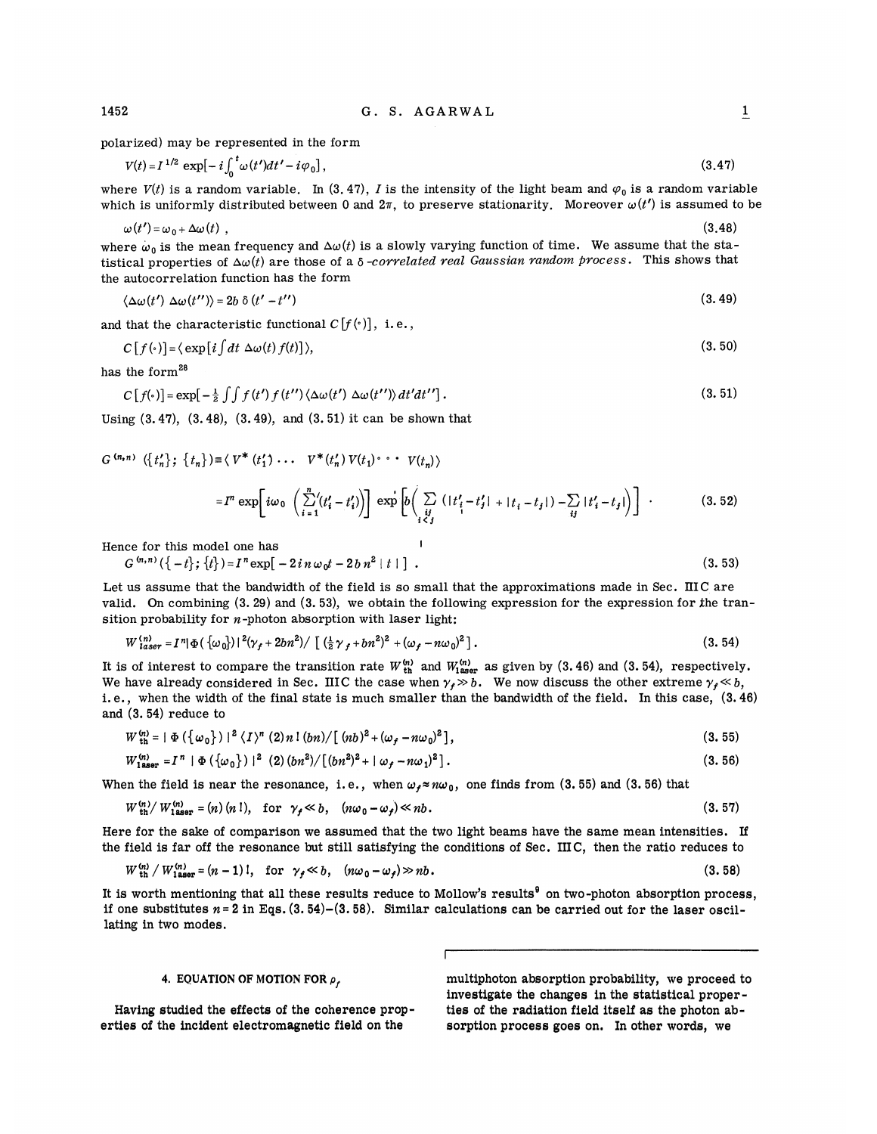polarized) may be represented in the form

$$
V(t) = I^{1/2} \exp[-i\int_0^t \omega(t')dt' - i\varphi_0],
$$
\n(3.47)

where  $V(t)$  is a random variable. In (3.47), I is the intensity of the light beam and  $\varphi_0$  is a random variable which is uniformly distributed between 0 and 2 $\pi$ , to preserve stationarity. Moreover  $\omega(t')$  is assumed to be

$$
\omega(t') = \omega_0 + \Delta\omega(t) \tag{3.48}
$$

where  $\omega_0$  is the mean frequency and  $\Delta\omega(t)$  is a slowly varying function of time. We assume that the statistical properties of  $\Delta\omega(t)$  are those of a  $\delta$ -corvelated real Gaussian random process. This shows that the autocorrelation function has the form

$$
\langle \Delta \omega(t') \; \Delta \omega(t'') \rangle = 2b \; \delta \left( t' - t'' \right) \tag{3.49}
$$

and that the characteristic functional  $C[f(\cdot)]$ , i.e.,

$$
C[f(\cdot)] = \langle \exp[i\int dt \; \Delta\omega(t) \, f(t)] \rangle, \tag{3.50}
$$

has the form<sup>28</sup>

$$
C[f(\cdot)] = \exp[-\frac{1}{2}\int \int f(t') f(t'') \langle \Delta \omega(t') \Delta \omega(t'') \rangle dt' dt''].
$$
\n(3.51)

Using (3.47), (3.48), (3.49), and (3. 51) it can be shown that

$$
G^{(n,n)} (\lbrace t'_{n} \rbrace; \lbrace t_{n} \rbrace) \equiv \langle V^* (t'_{1}) \cdots V^* (t'_{n}) V(t_{1}) \cdots V(t_{n}) \rangle
$$
  

$$
= I^{n} \exp \left[ i \omega_{0} \left( \sum_{i=1}^{n} (t'_{i} - t'_{i}) \right) \right] \exp \left[ b \left( \sum_{i \in J} (|t'_{i} - t'_{j}| + |t_{i} - t_{j}|) - \sum_{i j} |t'_{i} - t_{j}| \right) \right]. \tag{3.52}
$$

Hence for this model one has

 $G^{(n,n)}(\{-t\};\{t\}) = I^n \exp[-2in\omega_0 t - 2bn^2 |t| ]$ .  $(3.53)$ 

Let us assume that the bandwidth of the field is so small that the approximations made in Sec. IIIC are valid. On combining 
$$
(3.29)
$$
 and  $(3.53)$ , we obtain the following expression for the expression for the transition probability for *n*-photon absorption with laser light:

$$
W_{laser}^{(n)} = I^n |\Phi(\{\omega_0\})|^2 (\gamma_f + 2bn^2) / [(\frac{1}{2}\gamma_f + bn^2)^2 + (\omega_f - n\omega_0)^2]. \tag{3.54}
$$

It is of interest to compare the transition rate  $W_{th}^{(n)}$  and  $W_{laser}^{(n)}$  as given by (3.46) and (3.54), respectively. We have already considered in Sec. IIIC the case when  $\gamma_t \gg b$ . We now discuss the other extreme  $\gamma_t \ll b$ , i. e., when the width of the final state is much smaller than the bandwidth of the field. In this case, (3.46) and (3. 54) reduce to

$$
W_{\text{th}}^{(n)} = |\Phi(\{\omega_0\})|^2 \langle I \rangle^n (2) n! (bn) / [(nb)^2 + (\omega_f - n\omega_0)^2], \qquad (3.55)
$$

$$
W_{1\text{aser}}^{(n)} = I^{n} | \Phi(\{\omega_{0}\})|^{2} (2) (bn^{2}) / [(bn^{2})^{2} + |\omega_{f} - n\omega_{1})^{2}]. \qquad (3.56)
$$

When the field is near the resonance, i.e., when  $\omega_f \approx n\omega_0$ , one finds from (3.55) and (3.56) that  $W_n^{(n)}/W_n^{(n)} = (n)(n!)$  for  $\omega_i \ll h$  for  $\omega_i \ll h$ 

$$
W_{\rm th}^{(n)}/W_{\rm laser}^{(n)} = (n)(n!) \text{, for } \gamma_f \ll b, \quad (n\omega_0 - \omega_f) \ll nb. \tag{3.57}
$$

Here for the sake of comparison we assumed that the two light beams have the same mean intensities. If the field is far off the resonance but still satisfying the conditions of Sec. IIIC, then the ratio reduces to

$$
W_{\text{th}}^{(n)}/W_{\text{1aser}}^{(n)} = (n-1) \, \text{l}, \quad \text{for} \quad \gamma_f \ll b, \quad (n\omega_0 - \omega_f) \gg nb \,. \tag{3.58}
$$

It is worth mentioning that all these results reduce to Mollow's results $9$  on two-photon absorption process, if one substitutes  $n = 2$  in Eqs.  $(3.54)-(3.58)$ . Similar calculations can be carried out for the laser oscillating in two modes.

# 4. EQUATION OF MOTION FOR  $\rho_r$

Having studied the effects of the coherence properties of the incident electromagnetic field on the

multiphoton absorption probability, we proceed to investigate the changes in the statistical properties of the radiation field itself as the photon absorption process goes on. In other words, we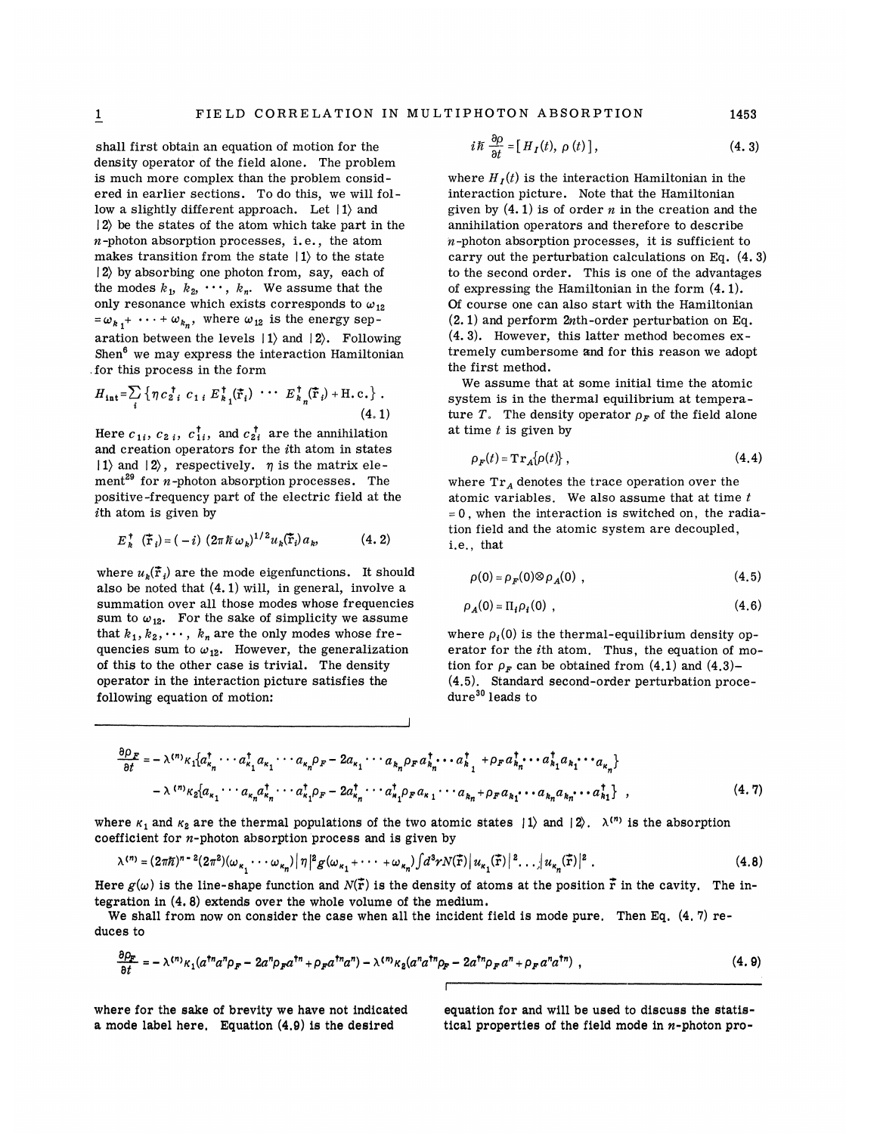shall first obtain an equation of motion for the density operator of the field alone. The problem is much more complex than the problem considered in earlier sections. To do this, we will follow a slightly different approach. Let  $|1\rangle$  and  $|2\rangle$  be the states of the atom which take part in the n-photon absorption processes, i.e., the atom makes transition from the state  $|1\rangle$  to the state  $|2\rangle$  by absorbing one photon from, say, each of the modes  $k_1$ ,  $k_2$ ,  $\cdots$ ,  $k_n$ . We assume that the only resonance which exists corresponds to  $\omega_{12}$  $=\omega_{k_1} + \cdots + \omega_{k_n}$ , where  $\omega_{12}$  is the energy separation between the levels  $| 1 \rangle$  and  $| 2 \rangle$ . Following Shen $<sup>6</sup>$  we may express the interaction Hamiltonian</sup> .for this process in the form

$$
H_{\text{int}} = \sum_{i} \left\{ \eta c_{2i}^{\dagger} c_{1i} E_{k_1}^{\dagger}(\vec{\mathbf{r}}_i) \cdots E_{k_n}^{\dagger}(\vec{\mathbf{r}}_i) + \text{H.c.} \right\} .
$$
\n(4.1)

Here  $c_{1i}$ ,  $c_{2i}$ ,  $c_{1i}^{\dagger}$ , and  $c_{2i}^{\dagger}$  are the annihilation and creation operators for the ith atom in states  $|1\rangle$  and  $|2\rangle$ , respectively.  $\eta$  is the matrix element<sup>29</sup> for *n*-photon absorption processes. The positive-frequency part of the electric field at the ith atom is given by

$$
E_k^{\dagger}(\tilde{\mathbf{r}}_i) = (-i) (2\pi \hbar \omega_k)^{1/2} u_k(\tilde{\mathbf{r}}_i) a_k, \qquad (4.2)
$$

where  $u_{\nu}(\vec{r}_i)$  are the mode eigenfunctions. It should also be noted that (4. 1) will, in general, involve a summation over all those modes whose frequencies sum to  $\omega_{12}$ . For the sake of simplicity we assume that  $k_1, k_2, \dots, k_n$  are the only modes whose frequencies sum to  $\omega_{12}$ . However, the generalization of this to the other case is trivial. The density operator in the interaction picture satisfies the following equation of motion:

$$
i\hbar \frac{\partial \rho}{\partial t} = [H_I(t), \rho(t)], \qquad (4.3)
$$

where  $H_I(t)$  is the interaction Hamiltonian in the interaction picture. Note that the Hamiltonian given by  $(4.1)$  is of order *n* in the creation and the annihilation operators and therefore to describe  $n$ -photon absorption processes, it is sufficient to carry out the perturbation calculations on Eq. (4. 3) to the second order. This is one of the advantages of expressing the Hamiltonian in the form (4. 1). Of course one can also start with the Hamiltonian  $(2. 1)$  and perform  $2n$ th-order perturbation on Eq. (4. 3). However, this latter method becomes extremely cumbersome and for this reason we adopt the first method.

We assume that at some initial time the atomic system is in the therma) equilibrium at temperature T. The density operator  $\rho_F$  of the field alone at time  $t$  is given by

$$
\rho_F(t) = \mathbf{Tr}_A[\rho(t)],\qquad(4.4)
$$

where  $Tr_A$  denotes the trace operation over the atomic variables. We also assume that at time  $t$  $= 0$ , when the interaction is switched on, the radiation field and the atomic system are decoupled, i.e., th<mark>a</mark>

$$
\rho(0) = \rho_F(0) \otimes \rho_A(0) , \qquad (4.5)
$$

$$
\rho_A(0) = \Pi_i \rho_i(0) , \qquad (4.6)
$$

where  $\rho<sub>i</sub>(0)$  is the thermal-equilibrium density operator for the ith atom. Thus, the equation of motion for  $\rho<sub>F</sub>$  can be obtained from (4.1) and (4.3)-(4.5). Standard second-order perturbation proce $dure<sup>30</sup>$  leads to

$$
\frac{\partial \rho_F}{\partial t} = -\lambda^{(n)} \kappa_1 \left\{ a_{\kappa_n}^\dagger \cdots a_{\kappa_1}^\dagger a_{\kappa_1} \cdots a_{\kappa_n} \rho_F - 2 a_{\kappa_1} \cdots a_{\kappa_n} \rho_F a_{\kappa_n}^\dagger \cdots a_{\kappa_1}^\dagger + \rho_F a_{\kappa_n}^\dagger \cdots a_{\kappa_1}^\dagger a_{\kappa_1} \cdots a_{\kappa_n} \right\}
$$

$$
- \lambda^{(n)} \kappa_2 \left\{ a_{\kappa_1} \cdots a_{\kappa_n} a_{\kappa_n}^\dagger \cdots a_{\kappa_1}^\dagger \rho_F - 2 a_{\kappa_n}^\dagger \cdots a_{\kappa_1}^\dagger \rho_F a_{\kappa_1} \cdots a_{\kappa_n} + \rho_F a_{\kappa_1} \cdots a_{\kappa_n} a_{\kappa_n} \cdots a_{\kappa_1}^\dagger \right\} , \tag{4.7}
$$

where  $\kappa_1$  and  $\kappa_2$  are the thermal populations of the two atomic states  $|1\rangle$  and  $|2\rangle$ .  $\lambda^{(n)}$  is the absorption coefficient for  $n$ -photon absorption process and is given by

$$
\lambda^{(n)} = (2\pi\hbar)^{n-2} (2\pi^2) (\omega_{\kappa_1} \cdots \omega_{\kappa_n}) |\eta|^2 g(\omega_{\kappa_1} + \cdots + \omega_{\kappa_n}) \int d^3r N(\vec{r}) |u_{\kappa_1}(\vec{r})|^2 \cdots |u_{\kappa_n}(\vec{r})|^2.
$$
 (4.8)

Here  $g(\omega)$  is the line-shape function and  $N(\vec{r})$  is the density of atoms at the position  $\vec{r}$  in the cavity. The integration in (4. 8) extends over the whole volume of the medium.

We shall from now on consider the case when all the incident field is mode pure. Then Eq. (4.7) reduces to

$$
\frac{\partial \rho_{\mathbf{F}}}{\partial t} = -\lambda^{(n)} \kappa_1 (a^{\dagger n} a^n \rho_{\mathbf{F}} - 2a^n \rho_{\mathbf{F}} a^{\dagger n} + \rho_{\mathbf{F}} a^{\dagger n} a^n) - \lambda^{(n)} \kappa_2 (a^n a^{\dagger n} \rho_{\mathbf{F}} - 2a^{\dagger n} \rho_{\mathbf{F}} a^n + \rho_{\mathbf{F}} a^n a^{\dagger n}) \tag{4.9}
$$

where for the sake of brevity we have not indicated a mode label here. Equation (4,9) is ihe desired

equation for and will be used to discuss the statistical properties of the field mode in  $n$ -photon pro-

1453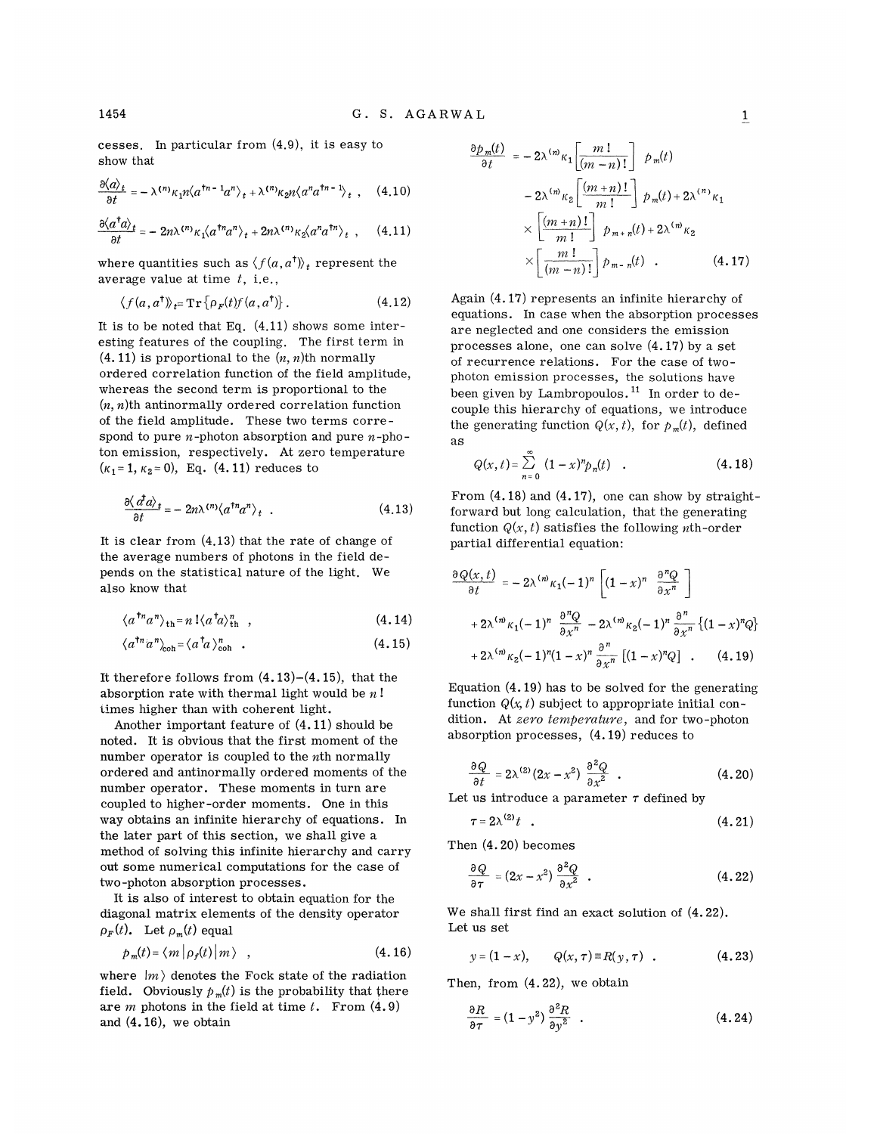cesses. In particular from (4.9), it is easy to show that

$$
\frac{\partial \langle a \rangle_t}{\partial t} = -\lambda^{(n)} \kappa_1 n \langle a^{\dagger n - 1} a^n \rangle_t + \lambda^{(n)} \kappa_2 n \langle a^n a^{\dagger n - 1} \rangle_t , \quad (4.10)
$$

$$
\frac{\partial \langle a^{\dagger} a \rangle_t}{\partial t} = -2n\lambda^{(n)} \kappa_1 \langle a^{\dagger n} a^n \rangle_t + 2n\lambda^{(n)} \kappa_2 \langle a^n a^{\dagger n} \rangle_t , \quad (4.11)
$$

where quantities such as  $\langle f(a, a^{\dagger}) \rangle_t$  represent the average value at time  $t$ , i.e.,

$$
\langle f(a, a^{\dagger}) \rangle_{t} = \operatorname{Tr} \{ \rho_F(t) f(a, a^{\dagger}) \}.
$$
 (4.12)

It is to be noted that Eq.  $(4.11)$  shows some interesting features of the coupling. The first term in  $(4.11)$  is proportional to the  $(n, n)$ th normally ordered correlation function of the field amplitude, whereas the second term is proportional to the  $(n, n)$ th antinormally ordered correlation function of the field amplitude. These two terms correspond to pure *n*-photon absorption and pure *n*-photon emission, respectively. At zero temperature  $(\kappa_1 = 1, \kappa_2 = 0)$ , Eq. (4.11) reduces to

$$
\frac{\partial \langle d^{\dagger} a \rangle_t}{\partial t} = -2n\lambda^{(n)} \langle a^{\dagger n} a^n \rangle_t . \qquad (4.13)
$$

It is clear from (4.13) that the rate of change of the average numbers of photons in the field depends on the statistical nature of the light. We also know that

$$
\langle a^{\dagger n} a^n \rangle_{\text{th}} = n \, \, \langle a^{\dagger} a \rangle_{\text{th}}^n \quad , \tag{4.14}
$$

$$
\langle a^{\dagger n} a^n \rangle_{\text{coh}} = \langle a^{\dagger} a \rangle_{\text{coh}}^n \quad . \tag{4.15}
$$

It therefore follows from  $(4.13)-(4.15)$ , that the absorption rate with thermal light would be  $n!$ times higher than with coherent light.

Another important feature of  $(4.11)$  should be noted. It is obvious that the first moment of the number operator is coupled to the  $n$ th normally ordered and antinormally ordered moments of the number operator. These moments in turn are coupled to higher-order moments. One in this way obtains an infinite hierarchy of equations. In the later part of this section, we shall give a method of solving this infinite hierarchy and carry out some numerical computations for the case of two-photon absorption processes.

It is also of interest to obtain equation for the diagonal matrix elements of the density operator  $\rho_F(t)$ . Let  $\rho_m(t)$  equal

$$
p_m(t) = \langle m | \rho_f(t) | m \rangle , \qquad (4.16)
$$

where  $|m\rangle$  denotes the Fock state of the radiation field. Obviously  $p_m(t)$  is the probability that there are  $m$  photons in the field at time  $t$ . From  $(4.9)$ and (4. 16), we obtain

$$
\frac{\partial p_m(t)}{\partial t} = -2\lambda^{(m)}\kappa_1 \left[ \frac{m!}{(m-n)!} \right] p_m(t)
$$

$$
-2\lambda^{(m)}\kappa_2 \left[ \frac{(m+n)!}{m!} \right] p_m(t) + 2\lambda^{(n)}\kappa_1
$$

$$
\times \left[ \frac{(m+n)!}{m!} \right] p_{m+n}(t) + 2\lambda^{(m)}\kappa_2
$$

$$
\times \left[ \frac{m!}{(m-n)!} \right] p_{m-n}(t) . \qquad (4.17)
$$

Again (4. 17) represents an infinite hierarchy of equations. In ease when the absorption processes are neglected and one considers the emission processes alone, one can solve  $(4.17)$  by a set of recurrence relations. For the case of twophoton emission processes, the solutions have photon emission processes, the solutions have<br>been given by Lambropoulos.<sup>11</sup> In order to decouple this hierarchy of equations, we introduce the generating function  $Q(x, t)$ , for  $p_m(t)$ , defined as

$$
Q(x, t) = \sum_{n=0}^{\infty} (1-x)^n p_n(t) \quad . \tag{4.18}
$$

From  $(4.18)$  and  $(4.17)$ , one can show by straightforward but long calculation, that the generating function  $Q(x, t)$  satisfies the following *n*th-order partial differential equation:

$$
\frac{\partial Q(x,t)}{\partial t} = -2\lambda^{(n)}\kappa_1(-1)^n \left[ (1-x)^n \frac{\partial^n Q}{\partial x^n} \right]
$$

$$
+ 2\lambda^{(n)}\kappa_1(-1)^n \frac{\partial^n Q}{\partial x^n} - 2\lambda^{(n)}\kappa_2(-1)^n \frac{\partial^n}{\partial x^n} \left\{ (1-x)^n Q \right\}
$$

$$
+ 2\lambda^{(n)}\kappa_2(-1)^n (1-x)^n \frac{\partial^n}{\partial x^n} \left[ (1-x)^n Q \right] . \qquad (4.19)
$$

Equation (4. 19) has to be solved for the generating function  $Q(x, t)$  subject to appropriate initial condition. At zero temperature, and for two-photon absorption processes, (4. 19) reduces to

$$
\frac{\partial Q}{\partial t} = 2\lambda^{(2)}(2x - x^2) \frac{\partial^2 Q}{\partial x^2} . \qquad (4.20)
$$

Let us introduce a parameter  $\tau$  defined by

$$
\tau = 2\lambda^{(2)}t \quad . \tag{4.21}
$$

Then (4. 20) becomes

$$
\frac{\partial Q}{\partial \tau} = (2x - x^2) \frac{\partial^2 Q}{\partial x^2} . \tag{4.22}
$$

We shall first find an exact solution of (4. 22). Let us set

$$
y = (1 - x),
$$
  $Q(x, \tau) \equiv R(y, \tau)$ . (4.23)

Then, from (4. 22), we obtain

$$
\frac{\partial R}{\partial \tau} = (1 - y^2) \frac{\partial^2 R}{\partial y^2} \quad . \tag{4.24}
$$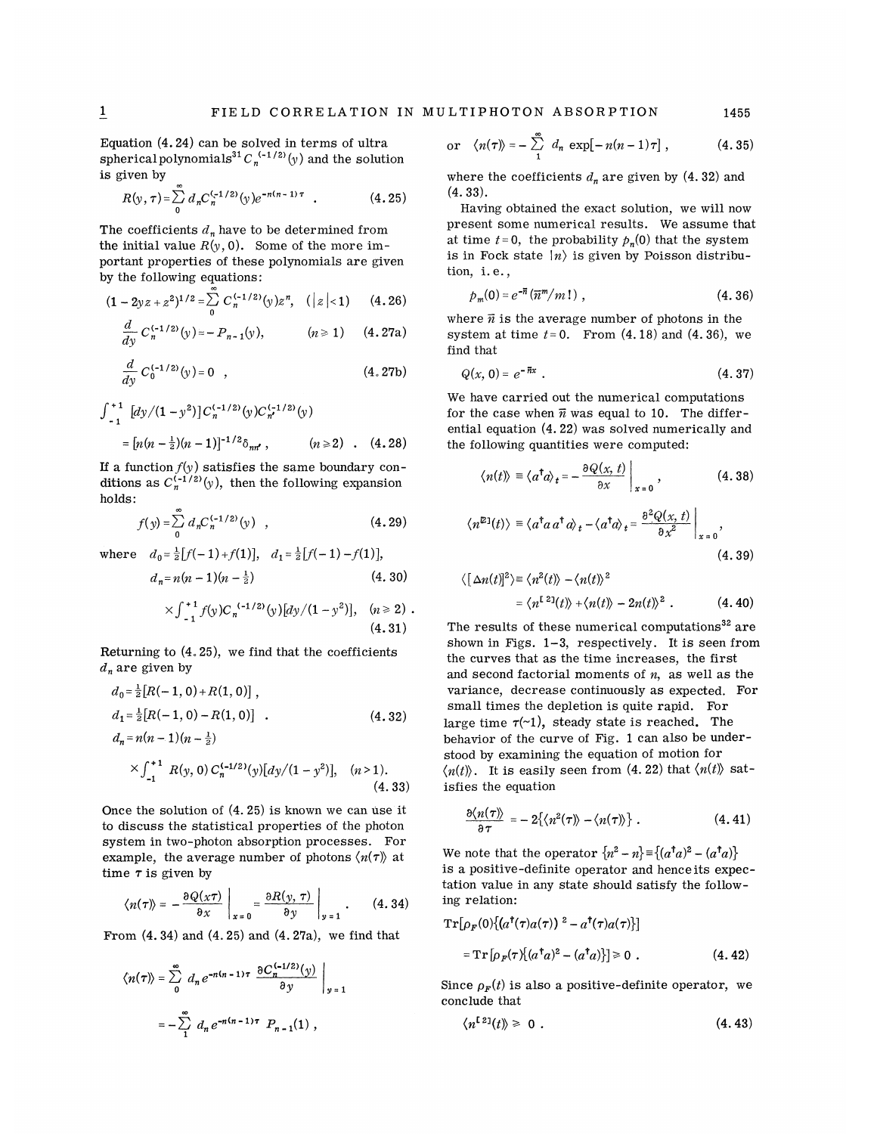Equation (4. 24) can be solved in terms of ultra, spherical polynomials<sup>31</sup>  $C_n^{(-1/2)}(y)$  and the solution is given by

$$
R(y,\tau) = \sum_{0}^{\infty} d_n C_n^{(-1/2)}(y) e^{-n(n-1)\tau} . \qquad (4.25)
$$

The coefficients  $d_n$  have to be determined from the initial value  $R(y, 0)$ . Some of the more important properties of these polynomials are given by the following equations:

$$
(1-2yz+z^2)^{1/2}=\sum_{0}^{\infty}C_n^{(-1/2)}(y)z^n, \quad (|z|<1) \qquad (4.26)
$$

$$
\frac{d}{dy} C_n^{(-1/2)}(y) = -P_{n-1}(y), \qquad (n \ge 1) \quad (4.27a)
$$

$$
\frac{d}{dy} C_0^{(-1/2)}(y) = 0 \quad , \tag{4.27b}
$$

$$
\int_{-1}^{+1} \left[ dy / (1 - y^2) \right] C_n^{(-1/2)}(y) C_{n'}^{(-1/2)}(y)
$$
  
= 
$$
\left[ n(n - \frac{1}{2})(n - 1) \right]^{-1/2} \delta_{nn'}, \qquad (n \ge 2) \qquad (4.28)
$$

If a function  $f(y)$  satisfies the same boundary conditions as  $C_n^{(-1/2)}(y)$ , then the following expansion holds:

$$
f(y) = \sum_{0}^{\infty} d_n C_n^{(-1/2)}(y) , \qquad (4.29)
$$

where  $d_0 = \frac{1}{2} [f(-1) + f(1)], d_1 = \frac{1}{2} [f(-1) - f(1)],$ 

$$
d_n = n(n-1)(n-\frac{1}{2})
$$
\n(4.30)  $\langle [\Delta n(t)]^2 \rangle = \langle n^2(t) \rangle - \langle n(t) \rangle^2$ 

$$
\times \int_{-1}^{+1} f(y) C_n^{(-1/2)}(y) [dy/(1-y^2)], \quad (n \ge 2) .
$$
\n(4.31)

Returning to  $(4.25)$ , we find that the coefficients  $d_n$  are given by

$$
d_0 = \frac{1}{2} [R(-1, 0) + R(1, 0)],
$$
  
\n
$$
d_1 = \frac{1}{2} [R(-1, 0) - R(1, 0)].
$$
  
\n
$$
d_n = n(n-1)(n - \frac{1}{2})
$$
\n(4.32)

$$
\times \int_{-1}^{+1} R(y, 0) C_n^{(-1/2)}(y) [dy/(1-y^2)], \quad (n>1).
$$
\n(4.33)

Once the solution of  $(4.25)$  is known we can use it to discuss the statistical properties of the photon system in two-photon absorption processes. For example, the average number of photons  $\langle n(\tau) \rangle$  at time  $\tau$  is given by

$$
\langle n(\tau) \rangle = -\frac{\partial Q(x\tau)}{\partial x}\bigg|_{x=0} = \frac{\partial R(y,\,\tau)}{\partial y}\bigg|_{y=1} \ . \qquad (4.34)
$$

From  $(4.34)$  and  $(4.25)$  and  $(4.27a)$ , we find that

$$
\langle n(\tau) \rangle = \sum_{0}^{\infty} d_n e^{-n(n-1)\tau} \left. \frac{\partial C_n^{(-1/2)}(y)}{\partial y} \right|_{y=1}
$$

$$
= -\sum_{1}^{\infty} d_n e^{-n(n-1)\tau} P_{n-1}(1),
$$

or 
$$
\langle n(\tau) \rangle = -\sum_{1}^{\infty} d_n \exp[-n(n-1)\tau]
$$
, (4.35)

where the coefficients  $d_n$  are given by (4.32) and  $(4.33).$ 

Having obtained the exact solution, we will now present some numerical results. We assume that at time  $t=0$ , the probability  $p_n(0)$  that the system is in Fock state  $|n\rangle$  is given by Poisson distribution, i. e. ,

$$
p_m(0) = e^{-\overline{n}} (\overline{n}^m/m!) , \qquad (4.36)
$$

where  $\vec{n}$  is the average number of photons in the system at time  $t=0$ . From  $(4.18)$  and  $(4.36)$ , we find that

$$
(4.27b) \tQ(x, 0) = e^{-\pi x} \t(4.37)
$$

We have carried out the numerical computations for the case when  $\overline{n}$  was equal to 10. The differential equation  $(4.22)$  was solved numerically and the following quantities were computed:

$$
\langle n(t) \rangle \equiv \langle a^{\dagger} a \rangle_{t} = -\frac{\partial Q(x, t)}{\partial x} \bigg|_{x=0}, \qquad (4.38)
$$

(4.29) 
$$
\langle n^{\mathbb{E}1}(t) \rangle \equiv \langle a^{\dagger} a a^{\dagger} a \rangle_t - \langle a^{\dagger} a \rangle_t = \frac{\partial^2 Q(x, t)}{\partial x^2} \bigg|_{x=0},
$$
  
 (4.39)

$$
\langle [\Delta n(t)]^2 \rangle \equiv \langle n^2(t) \rangle - \langle n(t) \rangle^2
$$
  
=  $\langle n^{[2]}(t) \rangle + \langle n(t) \rangle - 2n(t) \rangle^2$ . (4.40)

The results of these numerical computations<sup>32</sup> are shown in Figs.  $1-3$ , respectively. It is seen from the curves that as the time increases, the first and second factorial moments of  $n$ , as well as the variance, decrease continuously as expected. For small times the depletion is quite rapid. For large time  $\tau$ (~1), steady state is reached. The behavior of the curve of Fig. 1 can also be understood by examining the equation of motion for  $\langle n(t) \rangle$ . It is easily seen from (4. 22) that  $\langle n(t) \rangle$  satisfies the equation

$$
\frac{\partial \langle n(\tau) \rangle}{\partial \tau} = -2 \{ \langle n^2(\tau) \rangle - \langle n(\tau) \rangle \} . \qquad (4.41)
$$

We note that the operator  $\{n^2 - n\} = \{(a^{\dagger}a)^2 - (a^{\dagger}a)\}$ is a positive-definite operator and henceits expectation value in any state should satisfy the following relation:

$$
Tr[\rho_F(0){(a†(τ)a(τ))2 - a†(τ)a(τ)}]
$$
  
= Tr[ρ<sub>F</sub>(τ){(a<sup>†</sup>a)<sup>2</sup> - (a<sup>†</sup>a)}] > 0 . (4.42)

Since  $\rho_F(t)$  is also a positive-definite operator, we conclude that

$$
\langle n^{[2]}(t)\rangle \geq 0 \tag{4.43}
$$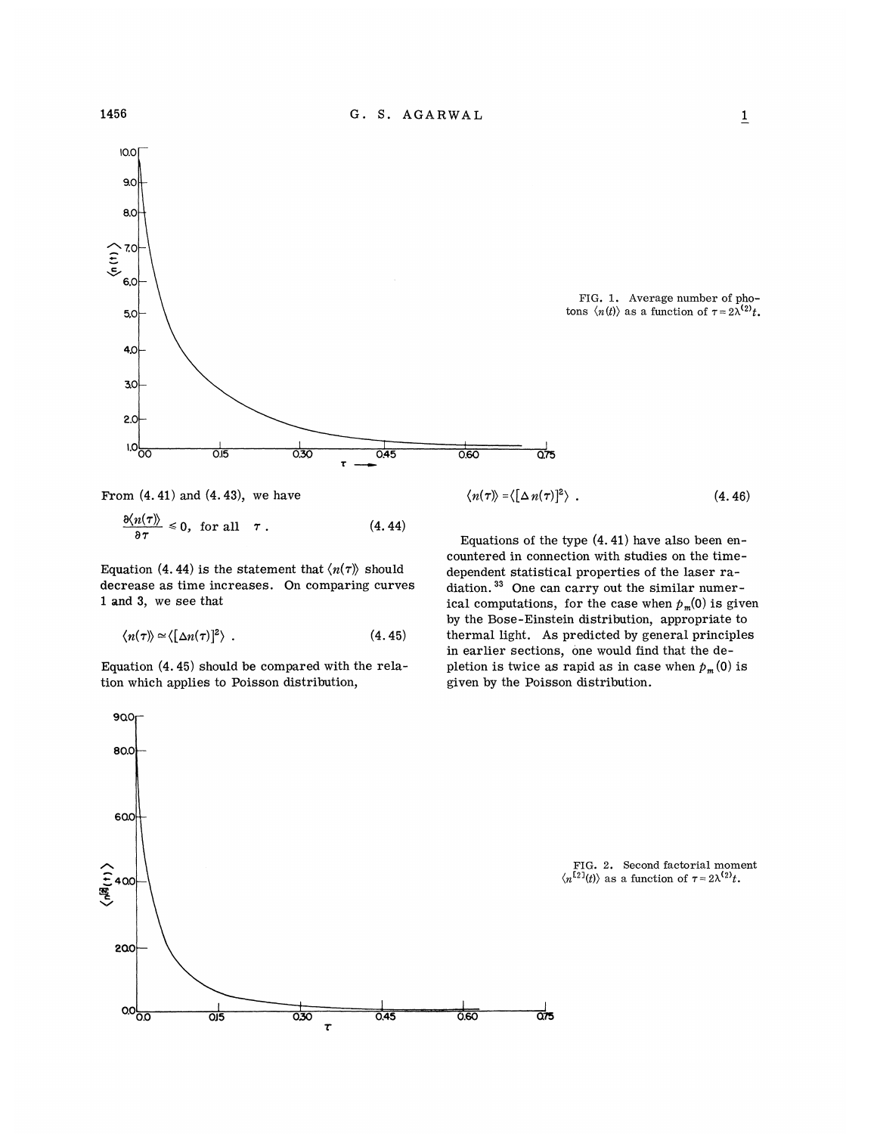

FIG. 1. Average number of photons  $\langle n(t) \rangle$  as a function of  $\tau = 2\lambda^{(2)}t$ .



$$
\frac{\partial \langle n(\tau) \rangle}{\partial \tau} \leq 0, \text{ for all } \tau. \tag{4.44}
$$

Equation (4.44) is the statement that  $\langle n(\tau) \rangle$  should decrease as time increases. On comparing curves 1 and 3, we see that

$$
\langle n(\tau) \rangle \simeq \langle \big[ \Delta n(\tau) \big]^2 \rangle \quad . \tag{4.45}
$$

Equation (4. 45) should be compared with the relation which applies to Poisson distribution,

$$
\langle n(\tau) \rangle = \langle [\Delta n(\tau)]^2 \rangle \tag{4.46}
$$

Equations of the type  $(4.41)$  have also been encountered in connection with studies on the timedependent statistical properties of the laser radiation.<sup>33</sup> One can carry out the similar numerical computations, for the case when  $p_m(0)$  is given by the Bose-Einstein distribution, appropriate to thermal light. As predicted by general principles in earlier sections, one would find that the depletion is twice as rapid as in case when  $p_m(0)$  is given by the Poisson distribution.

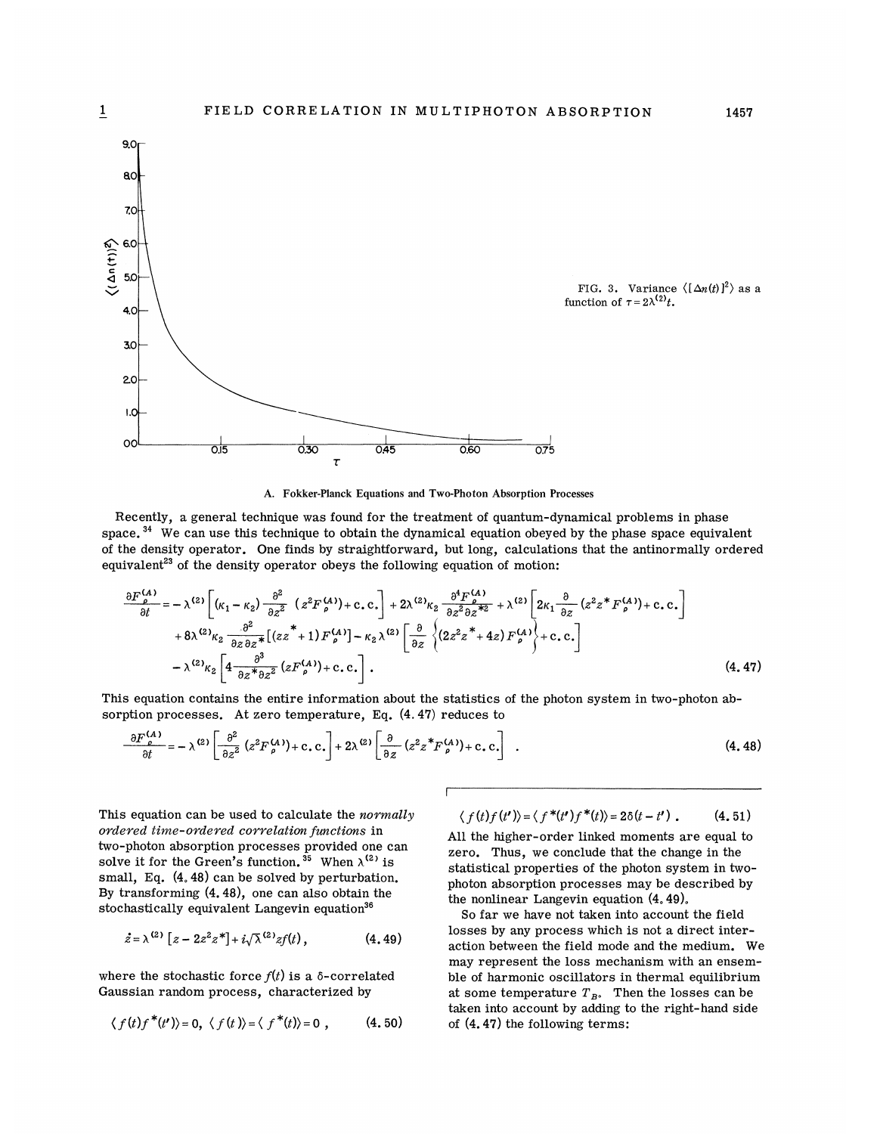

A. Fokker-Planck Equations and Two-Photon Absorption Processes

Recently, a general technique was found for the treatment of quantum-dynamical problems in phase<br>ace.<sup>34</sup> We can use this technique to obtain the dynamical equation obeyed by the phase space equiv:  ${\rm space.}^{34}$  We can use this technique to obtain the dynamical equation obeyed by the phase space equivalen of the density operator. One finds by straightforward, but long, calculations that the antinormally ordered equivalent<sup>23</sup> of the density operator obeys the following equation of motion:

$$
\frac{\partial F_{\rho}^{(A)}}{\partial t} = -\lambda^{(2)} \left[ (\kappa_1 - \kappa_2) \frac{\partial^2}{\partial z^2} \left( z^2 F_{\rho}^{(A)} \right) + \mathbf{c} \cdot \mathbf{c} \cdot \right] + 2\lambda^{(2)} \kappa_2 \frac{\partial^4 F_{\rho}^{(A)}}{\partial z^2 \partial z^* z} + \lambda^{(2)} \left[ 2\kappa_1 \frac{\partial}{\partial z} \left( z^2 z^* F_{\rho}^{(A)} \right) + \mathbf{c} \cdot \mathbf{c} \cdot \right] + 8\lambda^{(2)} \kappa_2 \frac{\partial^2}{\partial z \partial z^*} \left[ \left( z z^* + 1 \right) F_{\rho}^{(A)} \right] - \kappa_2 \lambda^{(2)} \left[ \frac{\partial}{\partial z} \left\{ \left( 2 z^2 z^* + 4 z \right) F_{\rho}^{(A)} \right\} + \mathbf{c} \cdot \mathbf{c} \cdot \right] - \lambda^{(2)} \kappa_2 \left[ 4 \frac{\partial^3}{\partial z^* \partial z^2} \left( z F_{\rho}^{(A)} \right) + \mathbf{c} \cdot \mathbf{c} \cdot \right].
$$
\n(4.47)

This equation contains the entire information about the statistics of the photon system in two-photon absorption processes. At zero temperature, Eq.  $(4.47)$  reduces to

$$
\frac{\partial F_{\rho}^{(A)}}{\partial t} = -\lambda^{(2)} \left[ \frac{\partial^2}{\partial z^2} \left( z^2 F_{\rho}^{(A)} \right) + \text{c.c.} \right] + 2\lambda^{(2)} \left[ \frac{\partial}{\partial z} \left( z^2 z^* F_{\rho}^{(A)} \right) + \text{c.c.} \right] \quad . \tag{4.48}
$$

This equation can be used to calculate the *normally* ordered time-ordered correlation functions in two-photon absorption processes provided one can solve it for the Green's function.<sup>35</sup> When  $\lambda^{(2)}$  is small, Eq. (4. 48) can be solved by perturbation. By transforming (4. 48), one can also obtain the stochastically equivalent Langevin equation'

$$
\dot{z} = \lambda^{(2)} [z - 2z^2 z^*] + i \sqrt{\lambda}^{(2)} z f(t), \qquad (4.49)
$$

where the stochastic force  $f(t)$  is a  $\delta$ -correlated Gaussian random process, characterized by

$$
\langle f(t)f^*(t')\rangle = 0, \ \langle f(t)\rangle = \langle f^*(t)\rangle = 0 \ , \qquad (4.50)
$$

$$
\langle f(t)f(t')\rangle = \langle f^*(t')f^*(t)\rangle = 2\delta(t-t') . \qquad (4.51)
$$

All the higher-order linked moments are equal to zero. Thus, we conclude that the change in the statistical properties of the photon system in twophoton absorption processes may be described by the nonlinear Langevin equation (4. 49).

So far we have not taken into account the field losses by any process which is not a direct interaction between the field mode and the medium. We may represent the loss mechanism with an ensemble of harmonic oscillators in thermal equilibrium at some temperature  $T_{B}$ . Then the losses can be taken into account by adding to the right-hand side of  $(4.47)$  the following terms: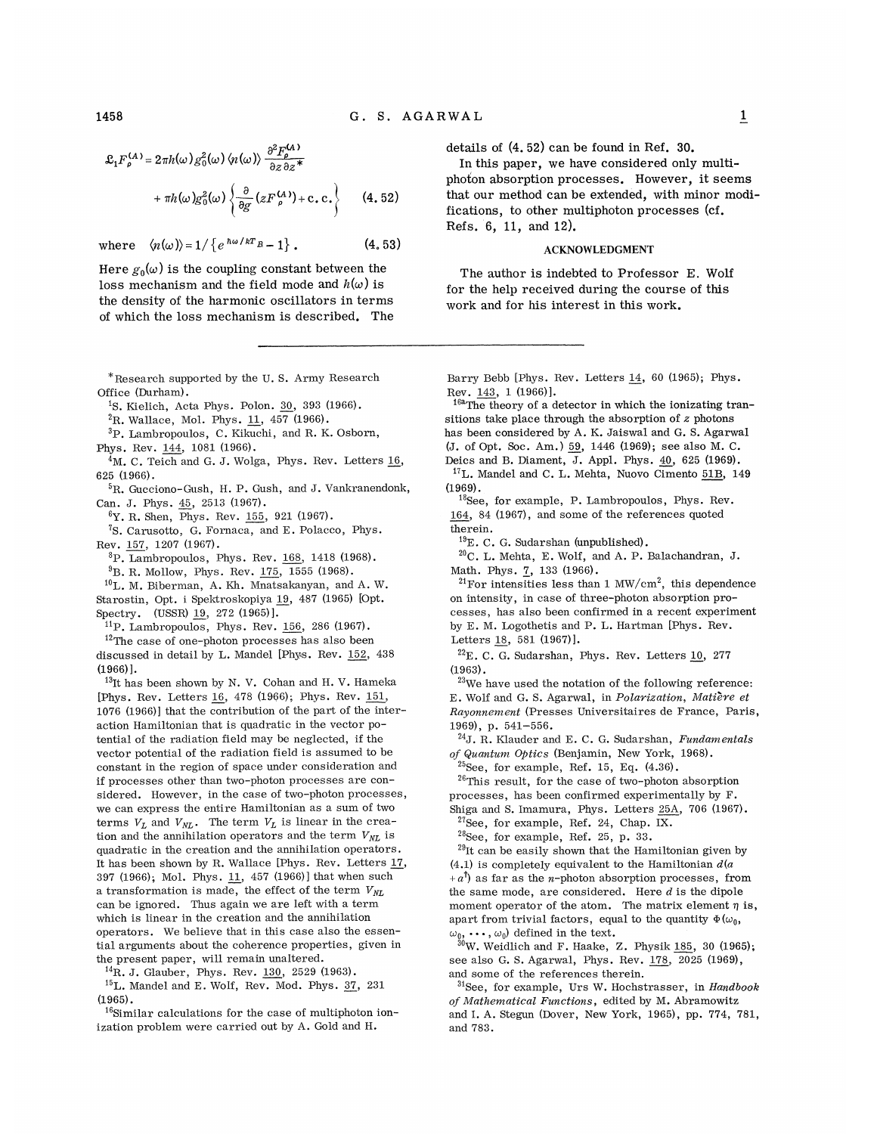where  $\langle n(\omega) \rangle = 1 / \{e^{\hbar \omega / kT} B - 1 \}$ . (4. 52)

Here  $g_0(\omega)$  is the coupling constant between the loss mechanism and the field mode and  $h(\omega)$  is the density of the harmonic oscillators in terms of which the loss mechanism is described. The

\*Research supported by the U. S. Army Research Office (Durham).

<sup>1</sup>S. Kielich, Acta Phys. Polon. 30, 393 (1966).

 ${}^{2}$ R. Wallace, Mol. Phys. 11, 457 (1966).

3P. Lambropoulos, C. Kikuchi, and R. K. Osborn, Phys. Rev. 144, 1081 (1966).

 $4M$ . C. Teich and G. J. Wolga, Phys. Rev. Letters 16, 625 (1966).

<sup>5</sup>R. Gucciono-Gush, H. P. Gush, and J. Vankranendonk, Can. J. Phys. 45, <sup>2513</sup> (1967).

6Y. R. Shen, Phys. Rev. 155, 921 (1967).

<sup>7</sup>S. Carusotto, G. Fornaca, and E. Polacco, Phys. Rev. 157, 1207 (1967).

 ${}^{8}P$ . Lambropoulos, Phys. Rev. 168, 1418 (1968).

 $^{9}$ B.R. Mollow, Phys. Rev. 175, 1555 (1968).

L. M. Biberman, A. Kh. Mnatsakanyan, and A. W. Starostin, Opt. i Spektroskopiya 19, 487 (1965) [Opt. Spectry. (USSR) 19, 272 (1965)].

 $^{11}P$ . Lambropoulos, Phys. Rev. 156, 286 (1967).

 $12$ The case of one-photon processes has also been discussed in detail by L. Mandel [Phys. Rev. 152, 438 (1966)].

<sup>13</sup>It has been shown by N. V. Cohan and H. V. Hameka [Phys. Rev. Letters 16, 478 (1966); Phys. Rev. 151, 1076 (1966)] that the contribution of the part of the interaction Hamiltonian that is quadratic in the vector potential of the radiation field may be neglected, if the vector potential of the radiation field is assumed to be constant in the region of space under consideration and if processes other than two-photon processes are considered. However, in the case of two-photon processes, we can express the entire Hamiltonian as a sum of two terms  $V_L$  and  $V_{NL}$ . The term  $V_L$  is linear in the creation and the annihilation operators and the term  $V_{NL}$  is quadratic in the creation and the annihilation operators. It has been shown by R. Wallace [Phys. Rev. Letters 17, 397 (1966); Mol. Phys. 11, 457 (1966)] that when such a transformation is made, the effect of the term  $V_{NL}$ can be ignored. Thus again we are left with a term which is linear in the creation and the annihilation operators. We believe that in this case also the essential arguments about the coherence properties, given in the present paper, will remain unaltered.

 ${}^{14}$ R. J. Glauber, Phys. Rev. 130, 2529 (1963).

 $^{15}$ L. Mandel and E. Wolf, Rev. Mod. Phys. 37, 231 (1965).

 $^{16}$ Similar calculations for the case of multiphoton ionization problem were carried out by A. Gold and H.

details of (4. 52) can be found in Ref. 30.

In this paper, we have considered only multiphoton absorption processes. However, it seems that our method can be extended, with minor modifications, to other multiphoton processes (cf. Refs. 6, 11, and 12).

#### ACKNOWLEDGMENT

The author is indebted to Professor E. Wolf for the help received during the course of this work and for his interest in this work.

Barry Bebb [Phys. Rev. Letters  $14$ , 60 (1965); Phys. Rev. 143, 1 (1966)].

 $^{16a}$ The theory of a detector in which the ionizating transitions take place through the absorption of  $z$  photons has been considered by A. K. Jaiswal and G. S. Agarwal (J. of Opt. Soc. Am. ) 59, 1446 (1969); see also M. C. Deics and B. Diament, J. Appl. Phys. 40, <sup>625</sup> (1969).

 $^{17}$ L. Mandel and C. L. Mehta, Nuovo Cimento 51B, 149 (1969).

 $^{18}$ See, for example, P. Lambropoulos, Phys. Rev. 164, 84 (1967), and some of the references quoted therein.

 $^{19}E.$  C. G. Sudarshan (unpublished).

 $^{20}$ C. L. Mehta, E. Wolf, and A. P. Balachandran, J. Math. Phys. 7, 133 (1966).

 $^{21}$ For intensities less than 1 MW/cm<sup>2</sup>, this dependence on intensity, in case of three-photon absorption processes, has also been confirmed in a recent experiment by E. M. Logothetis and P. L. Hartman [Phys. Rev. Letters 18, 581 (1967)].

 $^{22}E.$  C. G. Sudarshan, Phys. Rev. Letters 10, 277 (1963).

 $^{23}$ We have used the notation of the following reference: E. Wolf and G. S. Agarwal, in Polarization, Matière et Rayonnement (Presses Universitaires de France, Paris, 1969), p. 541-556.

 $^{24}$ J. R. Klauder and E. C. G. Sudarshan, Fundamentals of Quantum Optics (Benjamin, New York, 1968).

 $^{25}$ See, for example, Ref. 15, Eq.  $(4.36)$ .

 $26$ This result, for the case of two-photon absorption processes, has been confirmed experimentally by F. Shiga and S. Imamura, Phys. Letters 25A, 706 (1967).

 $27$ See, for example, Ref. 24, Chap. IX.

 $28$ See, for example, Ref. 25, p. 33.

 $^{29}$ It can be easily shown that the Hamiltonian given by (4.1) is completely equivalent to the Hamiltonian  $d(a)$  $+a^{\dagger}$  as far as the *n*-photon absorption processes, from the same mode, are considered. Here  $d$  is the dipole moment operator of the atom. The matrix element  $\eta$  is, apart from trivial factors, equal to the quantity  $\Phi(\omega_0, \mathbf{\cdot})$  $\omega_0, \cdots, \omega_0$  defined in the text.

W. Weidlich and F. Haake, Z. Physik 185, 30 (1965); see also G. S. Agarwal, Phys. Rev. 178, 2025 (1969), and some of the references therein.

 $31$ See, for example, Urs W. Hochstrasser, in Handbook of Mathematical Functions, edited by M. Abramowitz and I. A. Stegun (Dover, New York, 1965), pp. 774, 781, and 783.